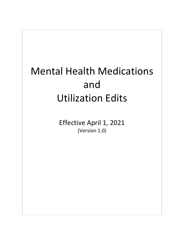## Mental Health Medications and Utilization Edits

Effective April 1, 2021 (Version 1.0)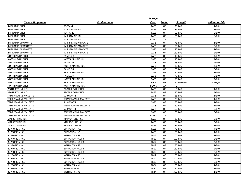|                             |                           | Dosage      |           |                 |                         |
|-----------------------------|---------------------------|-------------|-----------|-----------------|-------------------------|
| <b>Generic Drug Name</b>    | Product name              | Form        | Route     | <b>Strength</b> | <b>Utilization Edit</b> |
| <b>IMIPRAMINE HCL</b>       | <b>TOFRANIL</b>           | <b>TABS</b> | <b>OR</b> | 25 MG           | 1/DAY                   |
| <b>IMIPRAMINE HCL</b>       | <b>IMIPRAMINE HCL</b>     | <b>TABS</b> | OR        | 25 MG           | 1/DAY                   |
| <b>IMIPRAMINE HCL</b>       | <b>TOFRANIL</b>           | <b>TABS</b> | <b>OR</b> | 50 MG           | 6/DAY                   |
| <b>IMIPRAMINE HCL</b>       | <b>IMIPRAMINE HCL</b>     | <b>TABS</b> | <b>OR</b> | 50 MG           | 6/DAY                   |
| <b>IMIPRAMINE HCL</b>       | <b>IMIPRAMINE HCL</b>     | POWD        | XX        | $\mathbf 0$     |                         |
| <b>IMIPRAMINE PAMOATE</b>   | <b>IMIPRAMINE PAMOATE</b> | CAPS        | OR        | 75 MG           | 1/DAY                   |
| <b>IMIPRAMINE PAMOATE</b>   | <b>IMIPRAMINE PAMOATE</b> | CAPS        | <b>OR</b> | 100 MG          | 3/DAY                   |
| <b>IMIPRAMINE PAMOATE</b>   | <b>IMIPRAMINE PAMOATE</b> | CAPS        | OR        | 125 MG          | 2/DAY                   |
| <b>IMIPRAMINE PAMOATE</b>   | <b>IMIPRAMINE PAMOATE</b> | CAPS        | <b>OR</b> | 150 MG          | 2/DAY                   |
| <b>NORTRIPTYLINE HCL</b>    | PAMELOR                   | CAPS        | OR        | 10 MG           | 4/DAY                   |
| <b>NORTRIPTYLINE HCL</b>    | NORTRIPTYLINE HCL         | CAPS        | OR        | 10 MG           | 4/DAY                   |
| NORTRIPTYLINE HCL           | PAMELOR                   | CAPS        | <b>OR</b> | 25 MG           | 4/DAY                   |
| NORTRIPTYLINE HCL           | NORTRIPTYLINE HCL         | CAPS        | OR        | 25 MG           | 4/DAY                   |
| <b>NORTRIPTYLINE HCL</b>    | PAMELOR                   | CAPS        | <b>OR</b> | 50 MG           | 3/DAY                   |
| NORTRIPTYLINE HCL           | NORTRIPTYLINE HCL         | CAPS        | OR        | 50 MG           | 3/DAY                   |
| NORTRIPTYLINE HCL           | PAMELOR                   | CAPS        | <b>OR</b> | 75 MG           | 2/DAY                   |
| <b>NORTRIPTYLINE HCL</b>    | NORTRIPTYLINE HCL         | CAPS        | OR        | 75 MG           | 2/DAY                   |
| NORTRIPTYLINE HCL           | NORTRIPTYLINE HCL         | SOLN        | OR        | 10 MG/5ML       | 20ML/DAY                |
| NORTRIPTYLINE HCL           | NORTRIPTYLINE HCL         | POWD        | XX        | $\Omega$        |                         |
| PROTRIPTYLINE HCL           | PROTRIPTYLINE HCL         | <b>TABS</b> | <b>OR</b> | 5 MG            | 4/DAY                   |
| PROTRIPTYLINE HCL           | PROTRIPTYLINE HCL         | <b>TABS</b> | <b>OR</b> | 10 MG           | 4/DAY                   |
| TRIMIPRAMINE MALEATE        | SURMONTIL                 | CAPS        | OR        | 25 MG           | 1/DAY                   |
| <b>TRIMIPRAMINE MALEATE</b> | TRIMIPRAMINE MALEATE      | CAPS        | <b>OR</b> | 25 MG           | 1/DAY                   |
| <b>TRIMIPRAMINE MALEATE</b> | <b>SURMONTIL</b>          | CAPS        | <b>OR</b> | 50 MG           | 1/DAY                   |
| <b>TRIMIPRAMINE MALEATE</b> | TRIMIPRAMINE MALEATE      | CAPS        | OR        | 50 MG           | 1/DAY                   |
| TRIMIPRAMINE MALEATE        | SURMONTIL                 | CAPS        | <b>OR</b> | 100 MG          | 3/DAY                   |
| <b>TRIMIPRAMINE MALEATE</b> | TRIMIPRAMINE MALEATE      | CAPS        | <b>OR</b> | 100 MG          | 3/DAY                   |
| TRIMIPRAMINE MALEATE        | TRIMIPRAMINE MALEATE      | POWD        | XX        | $\Omega$        |                         |
| <b>MAPROTILINE HCL</b>      | <b>MAPROTILINE HCL</b>    | <b>TABS</b> | OR        | 25 MG           | 3/DAY                   |
| <b>MAPROTILINE HCL</b>      | <b>MAPROTILINE HCL</b>    | <b>TABS</b> | <b>OR</b> | 50 MG           | 3/DAY                   |
| <b>MAPROTILINE HCL</b>      | <b>MAPROTILINE HCL</b>    | <b>TABS</b> | OR        | 75 MG           | 3/DAY                   |
| <b>BUPROPION HCL</b>        | <b>BUPROPION HCL</b>      | <b>TABS</b> | OR        | 75 MG           | 4/DAY                   |
| <b>BUPROPION HCL</b>        | <b>BUPROPION HCL</b>      | <b>TABS</b> | OR        | 100 MG          | 4/DAY                   |
| <b>BUPROPION HCL</b>        | <b>WELLBUTRIN SR</b>      | <b>TB12</b> | OR        | 100 MG          | 2/DAY                   |
| <b>BUPROPION HCL</b>        | <b>BUPROPION HCL SR</b>   | <b>TB12</b> | <b>OR</b> | 100 MG          | 2/DAY                   |
| <b>BUPROPION HCL</b>        | <b>BUPROPION HCL ER</b>   | <b>TB12</b> | OR        | 100 MG          | 2/DAY                   |
| <b>BUPROPION HCL</b>        | <b>WELLBUTRIN SR</b>      | <b>TB12</b> | OR        | 150 MG          | 2/DAY                   |
| <b>BUPROPION HCL</b>        | <b>BUPROPION HCL SR</b>   | <b>TB12</b> | OR        | 150 MG          | 2/DAY                   |
| <b>BUPROPION HCL</b>        | <b>BUPROPION HCL ER</b>   | <b>TB12</b> | OR        | 150 MG          | 2/DAY                   |
| <b>BUPROPION HCL</b>        | <b>WELLBUTRIN SR</b>      | <b>TB12</b> | OR        | 200 MG          | 2/DAY                   |
| <b>BUPROPION HCL</b>        | <b>BUPROPION HCL SR</b>   | <b>TB12</b> | OR        | 200 MG          | 2/DAY                   |
| <b>BUPROPION HCL</b>        | <b>BUPROPION HCL ER</b>   | <b>TB12</b> | <b>OR</b> | 200 MG          | 2/DAY                   |
| <b>BUPROPION HCL</b>        | <b>WELLBUTRIN XL</b>      | <b>TB24</b> | OR        | 150 MG          | 1/DAY                   |
| <b>BUPROPION HCL</b>        | <b>BUPROPION HCL XL</b>   | <b>TB24</b> | <b>OR</b> | 150 MG          | 1/DAY                   |
| <b>BUPROPION HCL</b>        | <b>WELLBUTRIN XL</b>      | <b>TB24</b> | OR        | 300 MG          | 1/DAY                   |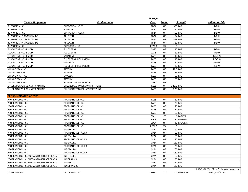|                                         |                                | Dosage      |           |                 |                                           |
|-----------------------------------------|--------------------------------|-------------|-----------|-----------------|-------------------------------------------|
| <b>Generic Drug Name</b>                | <b>Product name</b>            | Form        | Route     | <b>Strength</b> | <b>Utilization Edit</b>                   |
| <b>BUPROPION HCL</b>                    | <b>BUPROPION HCL XL</b>        | <b>TB24</b> | <b>OR</b> | 300 MG          | 1/DAY                                     |
| <b>BUPROPION HCL</b>                    | <b>FORFIVO XL</b>              | <b>TB24</b> | OR        | 450 MG          | 1/DAY                                     |
| <b>BUPROPION HCL</b>                    | <b>BUPROPION HCL ER</b>        | <b>TB24</b> | <b>OR</b> | 450 MG          | 1/DAY                                     |
| <b>BUPROPION HYDROBROMIDE</b>           | APLENZIN                       | <b>TB24</b> | <b>OR</b> | 174 MG          | 1/DAY                                     |
| <b>BUPROPION HYDROBROMIDE</b>           | APLENZIN                       | <b>TB24</b> | OR        | 348 MG          | 1/DAY                                     |
| <b>BUPROPION HYDROBROMIDE</b>           | APLENZIN                       | <b>TB24</b> | OR        | 522 MG          | 1/DAY                                     |
| <b>BUPROPION HCL</b>                    | <b>BUPROPION HCL</b>           | POWD        | XX        | $\mathbf 0$     |                                           |
| <b>FLUOXETINE HCL (PMDD)</b>            | <b>FLUOXETINE</b>              | CAPS        | OR        | 10 MG           | 1/DAY                                     |
| FLUOXETINE HCL (PMDD)                   | <b>FLUOXETINE</b>              | CAPS        | OR        | 20 MG           | 4/DAY                                     |
| <b>FLUOXETINE HCL (PMDD)</b>            | SARAFEM                        | <b>TABS</b> | OR        | 10 MG           | 1.5/DAY                                   |
| FLUOXETINE HCL (PMDD)                   | FLUOXETINE HCL (PMDD)          | <b>TABS</b> | OR        | 10 MG           | 1.5/DAY                                   |
| FLUOXETINE HCL (PMDD)                   | SARAFEM                        | <b>TABS</b> | OR        | 20 MG           | 4/DAY                                     |
| FLUOXETINE HCL (PMDD)                   | FLUOXETINE HCL (PMDD)          | <b>TABS</b> | OR        | 20 MG           | 4/DAY                                     |
| MILNACIPRAN HCL                         | SAVELLA                        | <b>TABS</b> | <b>OR</b> | 12.5 MG         |                                           |
| MILNACIPRAN HCL                         | SAVELLA                        | <b>TABS</b> | OR        | 25 MG           |                                           |
| MILNACIPRAN HCL                         | SAVELLA                        | <b>TABS</b> | OR        | 50 MG           |                                           |
| MILNACIPRAN HCL                         | SAVELLA                        | <b>TABS</b> | OR        | 100 MG          |                                           |
| MILNACIPRAN HCL                         | SAVELLA TITRATION PACK         | <b>MISC</b> | OR        | $\mathbf 0$     |                                           |
| CHLORDIAZEPOXIDE-AMITRIPTYLINE          | CHLORDIAZEPOXIDE/AMITRIPTYLINE | <b>TABS</b> | OR        | 5-12.5 MG       |                                           |
| CHLORDIAZEPOXIDE-AMITRIPTYLINE          | CHLORDIAZEPOXIDE/AMITRIPTYLINE | <b>TABS</b> | <b>OR</b> | 10-25 MG        |                                           |
|                                         |                                |             |           |                 |                                           |
| <b>CROSS-INDICATED AGENTS</b>           |                                |             |           |                 |                                           |
| PROPRANOLOL HCL                         | PROPRANOLOL HCL                | <b>TABS</b> | OR        | 10 MG           |                                           |
| PROPRANOLOL HCL                         | PROPRANOLOL HCL                | <b>TABS</b> | OR        | 20 MG           |                                           |
| PROPRANOLOL HCL                         | PROPRANOLOL HCL                | <b>TABS</b> | <b>OR</b> | 40 MG           |                                           |
| PROPRANOLOL HCL                         | PROPRANOLOL HCL                | <b>TABS</b> | <b>OR</b> | 60 MG           |                                           |
| PROPRANOLOL HCL                         | PROPRANOLOL HCL                | <b>TABS</b> | OR        | 80 MG           |                                           |
| PROPRANOLOL HCL                         | PROPRANOLOL HCL                | SOLN        | IV        | 1 MG/ML         |                                           |
| PROPRANOLOL HCL                         | PROPRANOLOL HCL                | SOLN        | OR        | 20 MG/5ML       |                                           |
| PROPRANOLOL HCL                         | PROPRANOLOL HCL                | SOLN        | OR        | 40 MG/5ML       |                                           |
| PROPRANOLOL HCL                         | PROPRANOLOL HCL                | POWD        | XX        | 0               |                                           |
| PROPRANOLOL HCL                         | <b>INDERAL LA</b>              | CP24        | OR        | 60 MG           |                                           |
| PROPRANOLOL HCL                         | PROPRANOLOL HCL ER             | CP24        | <b>OR</b> | 60 MG           |                                           |
| PROPRANOLOL HCL                         | <b>INDERAL LA</b>              | CP24        | OR        | 80 MG           |                                           |
| PROPRANOLOL HCL                         | PROPRANOLOL HCL ER             | CP24        | OR        | 80 MG           |                                           |
| PROPRANOLOL HCL                         | <b>INDERAL LA</b>              | CP24        | OR        | 120 MG          |                                           |
| PROPRANOLOL HCL                         | PROPRANOLOL HCL ER             | CP24        | OR        | 120 MG          |                                           |
| PROPRANOLOL HCL                         | <b>INDERAL LA</b>              | CP24        | OR        | 160 MG          |                                           |
| PROPRANOLOL HCL                         | PROPRANOLOL HCL ER             | CP24        | <b>OR</b> | 160 MG          |                                           |
| PROPRANOLOL HCL SUSTAINED-RELEASE BEADS | <b>INDERAL XL</b>              | <b>CP24</b> | <b>OR</b> | 80 MG           |                                           |
| PROPRANOLOL HCL SUSTAINED-RELEASE BEADS | <b>INNOPRAN XL</b>             | CP24        | OR        | 80 MG           |                                           |
| PROPRANOLOL HCL SUSTAINED-RELEASE BEADS | <b>INDERAL XL</b>              | CP24        | OR        | 120 MG          |                                           |
| PROPRANOLOL HCL SUSTAINED-RELEASE BEADS | <b>INNOPRAN XL</b>             | CP24        | OR        | 120 MG          |                                           |
|                                         |                                |             |           |                 | 1 PATCH/WEEK; PA req'd for concurrent use |
| <b>CLONIDINE HCL</b>                    | CATAPRES-TTS-1                 | <b>PTWK</b> | TD        | 0.1 MG/24HR     | with guanfacine                           |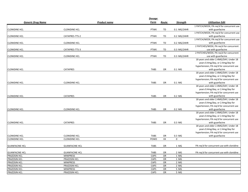|                       |                       | Dosage      |           |             |                                                                                |  |
|-----------------------|-----------------------|-------------|-----------|-------------|--------------------------------------------------------------------------------|--|
| Generic Drug Name     | <b>Product name</b>   | Form        | Route     | Strength    | <b>Utilization Edit</b>                                                        |  |
|                       |                       |             |           |             | 1 PATCH/WEEK; PA reg'd for concurrent use                                      |  |
| <b>CLONIDINE HCL</b>  | <b>CLONIDINE HCL</b>  | <b>PTWK</b> | TD        | 0.1 MG/24HR | with guanfacine                                                                |  |
|                       |                       |             |           |             | 1 PATCH/WEEK; PA req'd for concurrent use                                      |  |
| <b>CLONIDINE HCL</b>  | CATAPRES-TTS-2        | <b>PTWK</b> | TD        | 0.2 MG/24HR | with guanfacine                                                                |  |
|                       |                       |             |           |             | 1 PATCH/WEEK; PA req'd for concurrent use                                      |  |
| <b>CLONIDINE HCL</b>  | <b>CLONIDINE HCL</b>  | <b>PTWK</b> | TD        | 0.2 MG/24HR | with guanfacine                                                                |  |
|                       |                       |             |           |             | 2 PATCHES/WEEK; PA req'd for concurrent                                        |  |
| <b>CLONIDINE HCL</b>  | CATAPRES-TTS-3        | <b>PTWK</b> | TD        | 0.3 MG/24HR | use with guanfacine                                                            |  |
|                       |                       |             |           |             | 2 PATCHES/WEEK; PA req'd for concurrent                                        |  |
| <b>CLONIDINE HCL</b>  | <b>CLONIDINE HCL</b>  | <b>PTWK</b> | TD        | 0.3 MG/24HR | use with guanfacine                                                            |  |
|                       |                       |             |           |             | 18 years and older 2.4MG/DAY; Under 18                                         |  |
|                       |                       |             |           |             | years 0.4mg/day, or 2.4mg/day for                                              |  |
|                       |                       |             |           |             | hypertension; PA reg'd for concurrent use                                      |  |
| <b>CLONIDINE HCL</b>  | <b>CATAPRES</b>       | <b>TABS</b> | OR        | 0.1 MG      | with guanfacine                                                                |  |
|                       |                       |             |           |             | 18 years and older 2.4MG/DAY; Under 18                                         |  |
|                       |                       |             |           |             | years 0.4mg/day, or 2.4mg/day for<br>hypertension; PA reg'd for concurrent use |  |
| <b>CLONIDINE HCL</b>  | <b>CLONIDINE HCL</b>  | <b>TABS</b> | <b>OR</b> | 0.1 MG      | with guanfacine                                                                |  |
|                       |                       |             |           |             | 18 years and older 2.4MG/DAY; Under 18                                         |  |
|                       |                       |             |           |             | years 0.4mg/day, or 2.4mg/day for                                              |  |
|                       |                       |             |           |             | hypertension; PA req'd for concurrent use                                      |  |
| <b>CLONIDINE HCL</b>  | <b>CATAPRES</b>       | <b>TABS</b> | OR        | 0.2 MG      | with guanfacine                                                                |  |
|                       |                       |             |           |             | 18 years and older 2.4MG/DAY; Under 18                                         |  |
|                       |                       |             |           |             | years 0.4mg/day, or 2.4mg/day for                                              |  |
|                       |                       |             |           |             | hypertension; PA req'd for concurrent use                                      |  |
| <b>CLONIDINE HCL</b>  | <b>CLONIDINE HCL</b>  | <b>TABS</b> | <b>OR</b> | 0.2 MG      | with guanfacine                                                                |  |
|                       |                       |             |           |             | 18 years and older 2.4MG/DAY; Under 18                                         |  |
|                       |                       |             |           |             | years 0.4mg/day, or 2.4mg/day for                                              |  |
|                       |                       |             |           |             | hypertension; PA req'd for concurrent use                                      |  |
| <b>CLONIDINE HCL</b>  | <b>CATAPRES</b>       | <b>TABS</b> | OR        | 0.3 MG      | with guanfacine                                                                |  |
|                       |                       |             |           |             | 18 years and older 2.4MG/DAY; Under 18                                         |  |
|                       |                       |             |           |             | years 0.4mg/day, or 2.4mg/day for                                              |  |
|                       |                       |             |           |             | hypertension; PA req'd for concurrent use                                      |  |
| <b>CLONIDINE HCL</b>  | <b>CLONIDINE HCL</b>  | <b>TABS</b> | OR        | 0.3 MG      | with guanfacine                                                                |  |
| <b>CLONIDINE HCL</b>  | <b>CLONIDINE HCL</b>  | POWD        | XX        | $\mathbf 0$ |                                                                                |  |
|                       |                       |             |           |             |                                                                                |  |
| <b>GUANFACINE HCL</b> | <b>GUANFACINE HCL</b> | <b>TABS</b> | OR        | 1 MG        | PA req'd for concurrent use with clonidine                                     |  |
| <b>GUANFACINE HCL</b> | <b>GUANFACINE HCL</b> | <b>TABS</b> | OR        | 2 MG        | PA req'd for concurrent use with clonidine                                     |  |
| <b>PRAZOSIN HCL</b>   | <b>MINIPRESS</b>      | CAPS        | <b>OR</b> | 1 MG        |                                                                                |  |
| PRAZOSIN HCL          | PRAZOSIN HCL          | CAPS        | OR        | 1 MG        |                                                                                |  |
| PRAZOSIN HCL          | <b>MINIPRESS</b>      | CAPS        | OR        | 2 MG        |                                                                                |  |
| PRAZOSIN HCL          | PRAZOSIN HCL          | CAPS        | OR        | 2 MG        |                                                                                |  |
| PRAZOSIN HCL          | <b>MINIPRESS</b>      | CAPS        | OR        | 5 MG        |                                                                                |  |
| PRAZOSIN HCL          | PRAZOSIN HCL          | CAPS        | OR        | 5 MG        |                                                                                |  |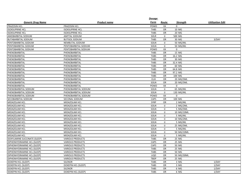|                              |                         | Dosage      |              |            |                         |
|------------------------------|-------------------------|-------------|--------------|------------|-------------------------|
| <b>Generic Drug Name</b>     | <b>Product name</b>     | Form        | Route        | Strength   | <b>Utilization Edit</b> |
| PRAZOSIN HCL                 | PRAZOSIN HCL            | POWD        | XX           | $\Omega$   |                         |
| <b>ISOXSUPRINE HCL</b>       | <b>ISOXSUPRINE HCL</b>  | <b>TABS</b> | OR           | 10 MG      |                         |
| <b>ISOXSUPRINE HCL</b>       | <b>ISOXSUPRINE HCL</b>  | <b>TABS</b> | OR           | 20 MG      |                         |
| AMOBARBITAL SODIUM           | <b>AMYTAL SODIUM</b>    | SOLR        | $\mathsf{U}$ | 500 MG     |                         |
| <b>BUTABARBITAL SODIUM</b>   | <b>BUTISOL SODIUM</b>   | <b>TABS</b> | OR           | 30 MG      | 3/DAY                   |
| PENTOBARBITAL SODIUM         | NEMBUTAL SODIUM         | SOLN        | IJ           | 50 MG/ML   |                         |
| PENTOBARBITAL SODIUM         | PENTOBARBITAL SODIUM    | SOLN        | IJ           | 50 MG/ML   |                         |
| PENTOBARBITAL SODIUM         | PENTOBARBITAL SODIUM    | POWD        | XX           | $\Omega$   |                         |
| PHENOBARBITAL                | PHENOBARBITAL           | <b>TABS</b> | <b>OR</b>    | 15 MG      |                         |
| PHENOBARBITAL                | PHENOBARBITAL           | <b>TABS</b> | OR           | 16.2 MG    |                         |
| PHENOBARBITAL                | PHENOBARBITAL           | <b>TABS</b> | OR           | 30 MG      |                         |
| PHENOBARBITAL                | PHENOBARBITAL           | <b>TABS</b> | <b>OR</b>    | 32.4 MG    |                         |
| PHENOBARBITAL                | PHENOBARBITAL           | <b>TABS</b> | OR           | 60 MG      |                         |
| PHENOBARBITAL                | PHENOBARBITAL           | <b>TABS</b> | <b>OR</b>    | 64.8 MG    |                         |
| PHENOBARBITAL                | PHENOBARBITAL           | <b>TABS</b> | OR           | 97.2 MG    |                         |
| PHENOBARBITAL                | PHENOBARBITAL           | <b>TABS</b> | OR           | 100 MG     |                         |
| PHENOBARBITAL                | PHENOBARBITAL           | <b>ELIX</b> | <b>OR</b>    | 20 MG/5ML  |                         |
| PHENOBARBITAL                | PHENOBARBITAL           | SOLN        | OR           | 20 MG/5ML  |                         |
| PHENOBARBITAL                | PHENOBARBITAL           | POWD        | XX           | $\Omega$   |                         |
| PHENOBARBITAL SODIUM         | PHENOBARBITAL SODIUM    | SOLN        | IJ           | 65 MG/ML   |                         |
| PHENOBARBITAL SODIUM         | PHENOBARBITAL SODIUM    | SOLN        | $\mathsf{U}$ | 130 MG/ML  |                         |
| PHENOBARBITAL SODIUM         | PHENOBARBITAL SODIUM    | POWD        | XX           | 0          |                         |
| SECOBARBITAL SODIUM          | SECONAL SODIUM          | CAPS        | <b>OR</b>    | 100 MG     |                         |
| MIDAZOLAM HCL                | MIDAZOLAM HCL           | <b>SYRP</b> | <b>OR</b>    | 2 MG/ML    |                         |
| MIDAZOLAM HCL                | MIDAZOLAM HCL           | SOLN        | IJ           | 2 MG/2ML   |                         |
| MIDAZOLAM HCL                | MIDAZOLAM HCL           | SOLN        | IJ           | 5 MG/5ML   |                         |
| MIDAZOLAM HCL                | MIDAZOLAM HCL           | SOLN        | IJ           | 10 MG/10ML |                         |
| MIDAZOLAM HCL                | MIDAZOLAM HCL           | SOLN        | IJ           | 5 MG/ML    |                         |
| MIDAZOLAM HCL                | MIDAZOLAM HCL           | SOLN        | IJ           | 10 MG/2ML  |                         |
| MIDAZOLAM HCL                | MIDAZOLAM HCL           | SOLN        | IJ           | 5 MG/ML    |                         |
| MIDAZOLAM HCL                | MIDAZOLAM HCL           | SOLN        | IJ           | 25 MG/5ML  |                         |
| MIDAZOLAM HCL                | MIDAZOLAM HCL           | SOLN        | IJ           | 5 MG/ML    |                         |
| MIDAZOLAM HCL                | MIDAZOLAM HCL           | SOLN        | IJ           | 50 MG/10ML |                         |
| MIDAZOLAM HCL                | MIDAZOLAM HCL           | SOLN        | $\sf I\sf J$ | 5 MG/ML    |                         |
| DOXYLAMINE SUCCINATE (SLEEP) | <b>VARIOUS PRODUCTS</b> | <b>TABS</b> | OR           | 25 MG      |                         |
| DIPHENHYDRAMINE HCL (SLEEP)  | <b>VARIOUS PRODUCTS</b> | CAPS        | OR           | 25 MG      |                         |
| DIPHENHYDRAMINE HCL (SLEEP)  | <b>VARIOUS PRODUCTS</b> | CAPS        | OR           | 50 MG      |                         |
| DIPHENHYDRAMINE HCL (SLEEP)  | <b>VARIOUS PRODUCTS</b> | <b>TABS</b> | OR           | 25 MG      |                         |
| DIPHENHYDRAMINE HCL (SLEEP)  | <b>VARIOUS PRODUCTS</b> | <b>TABS</b> | OR           | 50 MG      |                         |
| DIPHENHYDRAMINE HCL (SLEEP)  | <b>VARIOUS PRODUCTS</b> | LIQD        | <b>OR</b>    | 50 MG/30ML |                         |
| DIPHENHYDRAMINE HCL (SLEEP)  | VARIOUS PRODUCTS        | <b>TBDP</b> | <b>OR</b>    | 25 MG      |                         |
| <b>DOXEPIN HCL (SLEEP)</b>   | <b>SILENOR</b>          | <b>TABS</b> | <b>OR</b>    | 3 MG       | 1/DAY                   |
| <b>DOXEPIN HCL (SLEEP)</b>   | DOXEPIN HCL (SLEEP)     | <b>TABS</b> | OR           | 3 MG       | 1/DAY                   |
| <b>DOXEPIN HCL (SLEEP)</b>   | <b>SILENOR</b>          | <b>TABS</b> | OR           | 6 MG       | 1/DAY                   |
| DOXEPIN HCL (SLEEP)          | DOXEPIN HCL (SLEEP)     | <b>TABS</b> | OR           | 6 MG       | 1/DAY                   |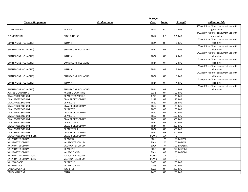| <b>Generic Drug Name</b><br>Product name<br>Form<br><b>Utilization Edit</b><br>Route<br>Strength<br>4/DAY; PA req'd for concurrent use with<br><b>CLONIDINE HCL</b><br><b>KAPVAY</b><br><b>TB12</b><br>guanfacine<br>PO<br>0.1 MG<br>4/DAY; PA req'd for concurrent use with<br><b>CLONIDINE HCL</b><br><b>TB12</b><br>PO<br>0.1 MG<br>guanfacine<br><b>CLONIDINE HCL</b><br>1/DAY; PA req'd for concurrent use with<br>clonidine<br><b>INTUNIV</b><br><b>TB24</b><br><b>OR</b><br>1 MG<br><b>GUANFACINE HCL (ADHD)</b><br>1/DAY; PA req'd for concurrent use with<br><b>TB24</b><br>clonidine<br><b>GUANFACINE HCL (ADHD)</b><br><b>GUANFACINE HCL (ADHD)</b><br>OR<br>1 MG<br>1/DAY; PA req'd for concurrent use with<br><b>INTUNIV</b><br><b>TB24</b><br>2 MG<br>clonidine<br><b>GUANFACINE HCL (ADHD)</b><br>OR<br>1/DAY; PA req'd for concurrent use with<br>clonidine<br><b>GUANFACINE HCL (ADHD)</b><br><b>GUANFACINE HCL (ADHD)</b><br><b>TB24</b><br>2 MG<br>OR<br>1/DAY; PA req'd for concurrent use with<br><b>INTUNIV</b><br><b>TB24</b><br><b>OR</b><br>3 MG<br>clonidine<br><b>GUANFACINE HCL (ADHD)</b><br>1/DAY; PA req'd for concurrent use with<br><b>TB24</b><br>3 MG<br>clonidine<br><b>GUANFACINE HCL (ADHD)</b><br><b>GUANFACINE HCL (ADHD)</b><br>OR<br>1/DAY; PA req'd for concurrent use with<br>clonidine<br><b>INTUNIV</b><br><b>TB24</b><br><b>OR</b><br>4 MG<br><b>GUANFACINE HCL (ADHD)</b><br>1/DAY; PA req'd for concurrent use with<br><b>TB24</b><br>4 MG<br>clonidine<br><b>GUANFACINE HCL (ADHD)</b><br><b>GUANFACINE HCL (ADHD)</b><br><b>OR</b><br>CAPS<br><b>ACETYL L-CARNITINE</b><br><b>ACETYL L-CARNITINE</b><br>OR<br>500 MG<br><b>CPSP</b><br>DIVALPROEX SODIUM<br><b>DEPAKOTE SPRINKLE</b><br>OR<br>125 MG<br><b>CPSP</b><br>OR<br>125 MG<br>DIVALPROEX SODIUM<br>DIVALPROEX SODIUM<br>DIVALPROEX SODIUM<br><b>DEPAKOTE</b><br><b>TBEC</b><br><b>OR</b><br>125 MG<br>DIVALPROEX SODIUM<br>DIVALPROEX SODIUM<br><b>TBEC</b><br>OR<br>125 MG<br><b>TBEC</b><br>OR<br>250 MG<br>DIVALPROEX SODIUM<br><b>DEPAKOTE</b><br>250 MG<br><b>DIVALPROEX SODIUM</b><br>DIVALPROEX SODIUM<br><b>TBEC</b><br>OR<br>DIVALPROEX SODIUM<br><b>DEPAKOTE</b><br><b>TBEC</b><br>OR<br>500 MG<br><b>TBEC</b><br>500 MG<br>DIVALPROEX SODIUM<br>DIVALPROEX SODIUM<br>OR<br>DIVALPROEX SODIUM<br><b>DEPAKOTE ER</b><br><b>TB24</b><br><b>OR</b><br>250 MG<br>DIVALPROEX SODIUM<br>DIVALPROEX SODIUM<br><b>TB24</b><br>OR<br>250 MG<br><b>TB24</b><br>OR<br>500 MG<br><b>DIVALPROEX SODIUM</b><br><b>DEPAKOTE ER</b><br><b>TB24</b><br>DIVALPROEX SODIUM<br>DIVALPROEX SODIUM<br><b>OR</b><br>500 MG<br>POWD<br>XX<br>$\Omega$<br>DIVALPROEX SODIUM (BULK)<br>DIVALPROEX SODIUM<br>SOLN<br>IV<br>100 MG/ML<br><b>VALPROATE SODIUM</b><br><b>DEPACON</b><br><b>VALPROATE SODIUM</b><br><b>VALPROATE SODIUM</b><br>SOLN<br>IV<br>100 MG/ML<br><b>VALPROATE SODIUM</b><br><b>VALPROATE SODIUM</b><br>SOLN<br>IV<br>500 MG/5ML<br>SOLN<br>OR<br><b>VALPROATE SODIUM</b><br>DEPAKENE<br>250 MG/5ML<br>SOLN<br>OR<br><b>VALPROATE SODIUM</b><br><b>VALPROIC ACID</b><br>250 MG/5ML<br>POWD<br><b>VALPROATE SODIUM (BULK)</b><br>SODIUM VALPROATE<br>XX<br>$\mathsf{O}\phantom{0}$<br>$\mathbf 0$<br><b>VALPROATE SODIUM (BULK)</b><br>VALPROATE SODIUM<br>POWD<br>XX<br><b>VALPROIC ACID</b><br>CAPS<br>DEPAKENE<br>OR<br>250 MG<br><b>VALPROIC ACID</b><br><b>VALPROIC ACID</b><br>250 MG<br>CAPS<br><b>OR</b><br>CARBAMAZEPINE<br>OR<br>200 MG<br><b>TEGRETOL</b><br><b>TABS</b><br><b>EPITOL</b><br><b>TABS</b><br>CARBAMAZEPINE<br><b>OR</b><br>200 MG |  | Dosage |  |  |
|---------------------------------------------------------------------------------------------------------------------------------------------------------------------------------------------------------------------------------------------------------------------------------------------------------------------------------------------------------------------------------------------------------------------------------------------------------------------------------------------------------------------------------------------------------------------------------------------------------------------------------------------------------------------------------------------------------------------------------------------------------------------------------------------------------------------------------------------------------------------------------------------------------------------------------------------------------------------------------------------------------------------------------------------------------------------------------------------------------------------------------------------------------------------------------------------------------------------------------------------------------------------------------------------------------------------------------------------------------------------------------------------------------------------------------------------------------------------------------------------------------------------------------------------------------------------------------------------------------------------------------------------------------------------------------------------------------------------------------------------------------------------------------------------------------------------------------------------------------------------------------------------------------------------------------------------------------------------------------------------------------------------------------------------------------------------------------------------------------------------------------------------------------------------------------------------------------------------------------------------------------------------------------------------------------------------------------------------------------------------------------------------------------------------------------------------------------------------------------------------------------------------------------------------------------------------------------------------------------------------------------------------------------------------------------------------------------------------------------------------------------------------------------------------------------------------------------------------------------------------------------------------------------------------------------------------------------------------------------------------------------------------------------------------------------------------------------------------------------------------------------------------------------------------------------------------------------------------------------------------------------------------------------------------------------------------------------------------------------------------------------------------------------------------------------------------------------------------------------------------------------------------------------------------------------------------------|--|--------|--|--|
|                                                                                                                                                                                                                                                                                                                                                                                                                                                                                                                                                                                                                                                                                                                                                                                                                                                                                                                                                                                                                                                                                                                                                                                                                                                                                                                                                                                                                                                                                                                                                                                                                                                                                                                                                                                                                                                                                                                                                                                                                                                                                                                                                                                                                                                                                                                                                                                                                                                                                                                                                                                                                                                                                                                                                                                                                                                                                                                                                                                                                                                                                                                                                                                                                                                                                                                                                                                                                                                                                                                                                                           |  |        |  |  |
|                                                                                                                                                                                                                                                                                                                                                                                                                                                                                                                                                                                                                                                                                                                                                                                                                                                                                                                                                                                                                                                                                                                                                                                                                                                                                                                                                                                                                                                                                                                                                                                                                                                                                                                                                                                                                                                                                                                                                                                                                                                                                                                                                                                                                                                                                                                                                                                                                                                                                                                                                                                                                                                                                                                                                                                                                                                                                                                                                                                                                                                                                                                                                                                                                                                                                                                                                                                                                                                                                                                                                                           |  |        |  |  |
|                                                                                                                                                                                                                                                                                                                                                                                                                                                                                                                                                                                                                                                                                                                                                                                                                                                                                                                                                                                                                                                                                                                                                                                                                                                                                                                                                                                                                                                                                                                                                                                                                                                                                                                                                                                                                                                                                                                                                                                                                                                                                                                                                                                                                                                                                                                                                                                                                                                                                                                                                                                                                                                                                                                                                                                                                                                                                                                                                                                                                                                                                                                                                                                                                                                                                                                                                                                                                                                                                                                                                                           |  |        |  |  |
|                                                                                                                                                                                                                                                                                                                                                                                                                                                                                                                                                                                                                                                                                                                                                                                                                                                                                                                                                                                                                                                                                                                                                                                                                                                                                                                                                                                                                                                                                                                                                                                                                                                                                                                                                                                                                                                                                                                                                                                                                                                                                                                                                                                                                                                                                                                                                                                                                                                                                                                                                                                                                                                                                                                                                                                                                                                                                                                                                                                                                                                                                                                                                                                                                                                                                                                                                                                                                                                                                                                                                                           |  |        |  |  |
|                                                                                                                                                                                                                                                                                                                                                                                                                                                                                                                                                                                                                                                                                                                                                                                                                                                                                                                                                                                                                                                                                                                                                                                                                                                                                                                                                                                                                                                                                                                                                                                                                                                                                                                                                                                                                                                                                                                                                                                                                                                                                                                                                                                                                                                                                                                                                                                                                                                                                                                                                                                                                                                                                                                                                                                                                                                                                                                                                                                                                                                                                                                                                                                                                                                                                                                                                                                                                                                                                                                                                                           |  |        |  |  |
|                                                                                                                                                                                                                                                                                                                                                                                                                                                                                                                                                                                                                                                                                                                                                                                                                                                                                                                                                                                                                                                                                                                                                                                                                                                                                                                                                                                                                                                                                                                                                                                                                                                                                                                                                                                                                                                                                                                                                                                                                                                                                                                                                                                                                                                                                                                                                                                                                                                                                                                                                                                                                                                                                                                                                                                                                                                                                                                                                                                                                                                                                                                                                                                                                                                                                                                                                                                                                                                                                                                                                                           |  |        |  |  |
|                                                                                                                                                                                                                                                                                                                                                                                                                                                                                                                                                                                                                                                                                                                                                                                                                                                                                                                                                                                                                                                                                                                                                                                                                                                                                                                                                                                                                                                                                                                                                                                                                                                                                                                                                                                                                                                                                                                                                                                                                                                                                                                                                                                                                                                                                                                                                                                                                                                                                                                                                                                                                                                                                                                                                                                                                                                                                                                                                                                                                                                                                                                                                                                                                                                                                                                                                                                                                                                                                                                                                                           |  |        |  |  |
|                                                                                                                                                                                                                                                                                                                                                                                                                                                                                                                                                                                                                                                                                                                                                                                                                                                                                                                                                                                                                                                                                                                                                                                                                                                                                                                                                                                                                                                                                                                                                                                                                                                                                                                                                                                                                                                                                                                                                                                                                                                                                                                                                                                                                                                                                                                                                                                                                                                                                                                                                                                                                                                                                                                                                                                                                                                                                                                                                                                                                                                                                                                                                                                                                                                                                                                                                                                                                                                                                                                                                                           |  |        |  |  |
|                                                                                                                                                                                                                                                                                                                                                                                                                                                                                                                                                                                                                                                                                                                                                                                                                                                                                                                                                                                                                                                                                                                                                                                                                                                                                                                                                                                                                                                                                                                                                                                                                                                                                                                                                                                                                                                                                                                                                                                                                                                                                                                                                                                                                                                                                                                                                                                                                                                                                                                                                                                                                                                                                                                                                                                                                                                                                                                                                                                                                                                                                                                                                                                                                                                                                                                                                                                                                                                                                                                                                                           |  |        |  |  |
|                                                                                                                                                                                                                                                                                                                                                                                                                                                                                                                                                                                                                                                                                                                                                                                                                                                                                                                                                                                                                                                                                                                                                                                                                                                                                                                                                                                                                                                                                                                                                                                                                                                                                                                                                                                                                                                                                                                                                                                                                                                                                                                                                                                                                                                                                                                                                                                                                                                                                                                                                                                                                                                                                                                                                                                                                                                                                                                                                                                                                                                                                                                                                                                                                                                                                                                                                                                                                                                                                                                                                                           |  |        |  |  |
|                                                                                                                                                                                                                                                                                                                                                                                                                                                                                                                                                                                                                                                                                                                                                                                                                                                                                                                                                                                                                                                                                                                                                                                                                                                                                                                                                                                                                                                                                                                                                                                                                                                                                                                                                                                                                                                                                                                                                                                                                                                                                                                                                                                                                                                                                                                                                                                                                                                                                                                                                                                                                                                                                                                                                                                                                                                                                                                                                                                                                                                                                                                                                                                                                                                                                                                                                                                                                                                                                                                                                                           |  |        |  |  |
|                                                                                                                                                                                                                                                                                                                                                                                                                                                                                                                                                                                                                                                                                                                                                                                                                                                                                                                                                                                                                                                                                                                                                                                                                                                                                                                                                                                                                                                                                                                                                                                                                                                                                                                                                                                                                                                                                                                                                                                                                                                                                                                                                                                                                                                                                                                                                                                                                                                                                                                                                                                                                                                                                                                                                                                                                                                                                                                                                                                                                                                                                                                                                                                                                                                                                                                                                                                                                                                                                                                                                                           |  |        |  |  |
|                                                                                                                                                                                                                                                                                                                                                                                                                                                                                                                                                                                                                                                                                                                                                                                                                                                                                                                                                                                                                                                                                                                                                                                                                                                                                                                                                                                                                                                                                                                                                                                                                                                                                                                                                                                                                                                                                                                                                                                                                                                                                                                                                                                                                                                                                                                                                                                                                                                                                                                                                                                                                                                                                                                                                                                                                                                                                                                                                                                                                                                                                                                                                                                                                                                                                                                                                                                                                                                                                                                                                                           |  |        |  |  |
|                                                                                                                                                                                                                                                                                                                                                                                                                                                                                                                                                                                                                                                                                                                                                                                                                                                                                                                                                                                                                                                                                                                                                                                                                                                                                                                                                                                                                                                                                                                                                                                                                                                                                                                                                                                                                                                                                                                                                                                                                                                                                                                                                                                                                                                                                                                                                                                                                                                                                                                                                                                                                                                                                                                                                                                                                                                                                                                                                                                                                                                                                                                                                                                                                                                                                                                                                                                                                                                                                                                                                                           |  |        |  |  |
|                                                                                                                                                                                                                                                                                                                                                                                                                                                                                                                                                                                                                                                                                                                                                                                                                                                                                                                                                                                                                                                                                                                                                                                                                                                                                                                                                                                                                                                                                                                                                                                                                                                                                                                                                                                                                                                                                                                                                                                                                                                                                                                                                                                                                                                                                                                                                                                                                                                                                                                                                                                                                                                                                                                                                                                                                                                                                                                                                                                                                                                                                                                                                                                                                                                                                                                                                                                                                                                                                                                                                                           |  |        |  |  |
|                                                                                                                                                                                                                                                                                                                                                                                                                                                                                                                                                                                                                                                                                                                                                                                                                                                                                                                                                                                                                                                                                                                                                                                                                                                                                                                                                                                                                                                                                                                                                                                                                                                                                                                                                                                                                                                                                                                                                                                                                                                                                                                                                                                                                                                                                                                                                                                                                                                                                                                                                                                                                                                                                                                                                                                                                                                                                                                                                                                                                                                                                                                                                                                                                                                                                                                                                                                                                                                                                                                                                                           |  |        |  |  |
|                                                                                                                                                                                                                                                                                                                                                                                                                                                                                                                                                                                                                                                                                                                                                                                                                                                                                                                                                                                                                                                                                                                                                                                                                                                                                                                                                                                                                                                                                                                                                                                                                                                                                                                                                                                                                                                                                                                                                                                                                                                                                                                                                                                                                                                                                                                                                                                                                                                                                                                                                                                                                                                                                                                                                                                                                                                                                                                                                                                                                                                                                                                                                                                                                                                                                                                                                                                                                                                                                                                                                                           |  |        |  |  |
|                                                                                                                                                                                                                                                                                                                                                                                                                                                                                                                                                                                                                                                                                                                                                                                                                                                                                                                                                                                                                                                                                                                                                                                                                                                                                                                                                                                                                                                                                                                                                                                                                                                                                                                                                                                                                                                                                                                                                                                                                                                                                                                                                                                                                                                                                                                                                                                                                                                                                                                                                                                                                                                                                                                                                                                                                                                                                                                                                                                                                                                                                                                                                                                                                                                                                                                                                                                                                                                                                                                                                                           |  |        |  |  |
|                                                                                                                                                                                                                                                                                                                                                                                                                                                                                                                                                                                                                                                                                                                                                                                                                                                                                                                                                                                                                                                                                                                                                                                                                                                                                                                                                                                                                                                                                                                                                                                                                                                                                                                                                                                                                                                                                                                                                                                                                                                                                                                                                                                                                                                                                                                                                                                                                                                                                                                                                                                                                                                                                                                                                                                                                                                                                                                                                                                                                                                                                                                                                                                                                                                                                                                                                                                                                                                                                                                                                                           |  |        |  |  |
|                                                                                                                                                                                                                                                                                                                                                                                                                                                                                                                                                                                                                                                                                                                                                                                                                                                                                                                                                                                                                                                                                                                                                                                                                                                                                                                                                                                                                                                                                                                                                                                                                                                                                                                                                                                                                                                                                                                                                                                                                                                                                                                                                                                                                                                                                                                                                                                                                                                                                                                                                                                                                                                                                                                                                                                                                                                                                                                                                                                                                                                                                                                                                                                                                                                                                                                                                                                                                                                                                                                                                                           |  |        |  |  |
|                                                                                                                                                                                                                                                                                                                                                                                                                                                                                                                                                                                                                                                                                                                                                                                                                                                                                                                                                                                                                                                                                                                                                                                                                                                                                                                                                                                                                                                                                                                                                                                                                                                                                                                                                                                                                                                                                                                                                                                                                                                                                                                                                                                                                                                                                                                                                                                                                                                                                                                                                                                                                                                                                                                                                                                                                                                                                                                                                                                                                                                                                                                                                                                                                                                                                                                                                                                                                                                                                                                                                                           |  |        |  |  |
|                                                                                                                                                                                                                                                                                                                                                                                                                                                                                                                                                                                                                                                                                                                                                                                                                                                                                                                                                                                                                                                                                                                                                                                                                                                                                                                                                                                                                                                                                                                                                                                                                                                                                                                                                                                                                                                                                                                                                                                                                                                                                                                                                                                                                                                                                                                                                                                                                                                                                                                                                                                                                                                                                                                                                                                                                                                                                                                                                                                                                                                                                                                                                                                                                                                                                                                                                                                                                                                                                                                                                                           |  |        |  |  |
|                                                                                                                                                                                                                                                                                                                                                                                                                                                                                                                                                                                                                                                                                                                                                                                                                                                                                                                                                                                                                                                                                                                                                                                                                                                                                                                                                                                                                                                                                                                                                                                                                                                                                                                                                                                                                                                                                                                                                                                                                                                                                                                                                                                                                                                                                                                                                                                                                                                                                                                                                                                                                                                                                                                                                                                                                                                                                                                                                                                                                                                                                                                                                                                                                                                                                                                                                                                                                                                                                                                                                                           |  |        |  |  |
|                                                                                                                                                                                                                                                                                                                                                                                                                                                                                                                                                                                                                                                                                                                                                                                                                                                                                                                                                                                                                                                                                                                                                                                                                                                                                                                                                                                                                                                                                                                                                                                                                                                                                                                                                                                                                                                                                                                                                                                                                                                                                                                                                                                                                                                                                                                                                                                                                                                                                                                                                                                                                                                                                                                                                                                                                                                                                                                                                                                                                                                                                                                                                                                                                                                                                                                                                                                                                                                                                                                                                                           |  |        |  |  |
|                                                                                                                                                                                                                                                                                                                                                                                                                                                                                                                                                                                                                                                                                                                                                                                                                                                                                                                                                                                                                                                                                                                                                                                                                                                                                                                                                                                                                                                                                                                                                                                                                                                                                                                                                                                                                                                                                                                                                                                                                                                                                                                                                                                                                                                                                                                                                                                                                                                                                                                                                                                                                                                                                                                                                                                                                                                                                                                                                                                                                                                                                                                                                                                                                                                                                                                                                                                                                                                                                                                                                                           |  |        |  |  |
|                                                                                                                                                                                                                                                                                                                                                                                                                                                                                                                                                                                                                                                                                                                                                                                                                                                                                                                                                                                                                                                                                                                                                                                                                                                                                                                                                                                                                                                                                                                                                                                                                                                                                                                                                                                                                                                                                                                                                                                                                                                                                                                                                                                                                                                                                                                                                                                                                                                                                                                                                                                                                                                                                                                                                                                                                                                                                                                                                                                                                                                                                                                                                                                                                                                                                                                                                                                                                                                                                                                                                                           |  |        |  |  |
|                                                                                                                                                                                                                                                                                                                                                                                                                                                                                                                                                                                                                                                                                                                                                                                                                                                                                                                                                                                                                                                                                                                                                                                                                                                                                                                                                                                                                                                                                                                                                                                                                                                                                                                                                                                                                                                                                                                                                                                                                                                                                                                                                                                                                                                                                                                                                                                                                                                                                                                                                                                                                                                                                                                                                                                                                                                                                                                                                                                                                                                                                                                                                                                                                                                                                                                                                                                                                                                                                                                                                                           |  |        |  |  |
|                                                                                                                                                                                                                                                                                                                                                                                                                                                                                                                                                                                                                                                                                                                                                                                                                                                                                                                                                                                                                                                                                                                                                                                                                                                                                                                                                                                                                                                                                                                                                                                                                                                                                                                                                                                                                                                                                                                                                                                                                                                                                                                                                                                                                                                                                                                                                                                                                                                                                                                                                                                                                                                                                                                                                                                                                                                                                                                                                                                                                                                                                                                                                                                                                                                                                                                                                                                                                                                                                                                                                                           |  |        |  |  |
|                                                                                                                                                                                                                                                                                                                                                                                                                                                                                                                                                                                                                                                                                                                                                                                                                                                                                                                                                                                                                                                                                                                                                                                                                                                                                                                                                                                                                                                                                                                                                                                                                                                                                                                                                                                                                                                                                                                                                                                                                                                                                                                                                                                                                                                                                                                                                                                                                                                                                                                                                                                                                                                                                                                                                                                                                                                                                                                                                                                                                                                                                                                                                                                                                                                                                                                                                                                                                                                                                                                                                                           |  |        |  |  |
|                                                                                                                                                                                                                                                                                                                                                                                                                                                                                                                                                                                                                                                                                                                                                                                                                                                                                                                                                                                                                                                                                                                                                                                                                                                                                                                                                                                                                                                                                                                                                                                                                                                                                                                                                                                                                                                                                                                                                                                                                                                                                                                                                                                                                                                                                                                                                                                                                                                                                                                                                                                                                                                                                                                                                                                                                                                                                                                                                                                                                                                                                                                                                                                                                                                                                                                                                                                                                                                                                                                                                                           |  |        |  |  |
|                                                                                                                                                                                                                                                                                                                                                                                                                                                                                                                                                                                                                                                                                                                                                                                                                                                                                                                                                                                                                                                                                                                                                                                                                                                                                                                                                                                                                                                                                                                                                                                                                                                                                                                                                                                                                                                                                                                                                                                                                                                                                                                                                                                                                                                                                                                                                                                                                                                                                                                                                                                                                                                                                                                                                                                                                                                                                                                                                                                                                                                                                                                                                                                                                                                                                                                                                                                                                                                                                                                                                                           |  |        |  |  |
|                                                                                                                                                                                                                                                                                                                                                                                                                                                                                                                                                                                                                                                                                                                                                                                                                                                                                                                                                                                                                                                                                                                                                                                                                                                                                                                                                                                                                                                                                                                                                                                                                                                                                                                                                                                                                                                                                                                                                                                                                                                                                                                                                                                                                                                                                                                                                                                                                                                                                                                                                                                                                                                                                                                                                                                                                                                                                                                                                                                                                                                                                                                                                                                                                                                                                                                                                                                                                                                                                                                                                                           |  |        |  |  |
|                                                                                                                                                                                                                                                                                                                                                                                                                                                                                                                                                                                                                                                                                                                                                                                                                                                                                                                                                                                                                                                                                                                                                                                                                                                                                                                                                                                                                                                                                                                                                                                                                                                                                                                                                                                                                                                                                                                                                                                                                                                                                                                                                                                                                                                                                                                                                                                                                                                                                                                                                                                                                                                                                                                                                                                                                                                                                                                                                                                                                                                                                                                                                                                                                                                                                                                                                                                                                                                                                                                                                                           |  |        |  |  |
|                                                                                                                                                                                                                                                                                                                                                                                                                                                                                                                                                                                                                                                                                                                                                                                                                                                                                                                                                                                                                                                                                                                                                                                                                                                                                                                                                                                                                                                                                                                                                                                                                                                                                                                                                                                                                                                                                                                                                                                                                                                                                                                                                                                                                                                                                                                                                                                                                                                                                                                                                                                                                                                                                                                                                                                                                                                                                                                                                                                                                                                                                                                                                                                                                                                                                                                                                                                                                                                                                                                                                                           |  |        |  |  |
|                                                                                                                                                                                                                                                                                                                                                                                                                                                                                                                                                                                                                                                                                                                                                                                                                                                                                                                                                                                                                                                                                                                                                                                                                                                                                                                                                                                                                                                                                                                                                                                                                                                                                                                                                                                                                                                                                                                                                                                                                                                                                                                                                                                                                                                                                                                                                                                                                                                                                                                                                                                                                                                                                                                                                                                                                                                                                                                                                                                                                                                                                                                                                                                                                                                                                                                                                                                                                                                                                                                                                                           |  |        |  |  |
|                                                                                                                                                                                                                                                                                                                                                                                                                                                                                                                                                                                                                                                                                                                                                                                                                                                                                                                                                                                                                                                                                                                                                                                                                                                                                                                                                                                                                                                                                                                                                                                                                                                                                                                                                                                                                                                                                                                                                                                                                                                                                                                                                                                                                                                                                                                                                                                                                                                                                                                                                                                                                                                                                                                                                                                                                                                                                                                                                                                                                                                                                                                                                                                                                                                                                                                                                                                                                                                                                                                                                                           |  |        |  |  |
|                                                                                                                                                                                                                                                                                                                                                                                                                                                                                                                                                                                                                                                                                                                                                                                                                                                                                                                                                                                                                                                                                                                                                                                                                                                                                                                                                                                                                                                                                                                                                                                                                                                                                                                                                                                                                                                                                                                                                                                                                                                                                                                                                                                                                                                                                                                                                                                                                                                                                                                                                                                                                                                                                                                                                                                                                                                                                                                                                                                                                                                                                                                                                                                                                                                                                                                                                                                                                                                                                                                                                                           |  |        |  |  |
|                                                                                                                                                                                                                                                                                                                                                                                                                                                                                                                                                                                                                                                                                                                                                                                                                                                                                                                                                                                                                                                                                                                                                                                                                                                                                                                                                                                                                                                                                                                                                                                                                                                                                                                                                                                                                                                                                                                                                                                                                                                                                                                                                                                                                                                                                                                                                                                                                                                                                                                                                                                                                                                                                                                                                                                                                                                                                                                                                                                                                                                                                                                                                                                                                                                                                                                                                                                                                                                                                                                                                                           |  |        |  |  |
|                                                                                                                                                                                                                                                                                                                                                                                                                                                                                                                                                                                                                                                                                                                                                                                                                                                                                                                                                                                                                                                                                                                                                                                                                                                                                                                                                                                                                                                                                                                                                                                                                                                                                                                                                                                                                                                                                                                                                                                                                                                                                                                                                                                                                                                                                                                                                                                                                                                                                                                                                                                                                                                                                                                                                                                                                                                                                                                                                                                                                                                                                                                                                                                                                                                                                                                                                                                                                                                                                                                                                                           |  |        |  |  |
|                                                                                                                                                                                                                                                                                                                                                                                                                                                                                                                                                                                                                                                                                                                                                                                                                                                                                                                                                                                                                                                                                                                                                                                                                                                                                                                                                                                                                                                                                                                                                                                                                                                                                                                                                                                                                                                                                                                                                                                                                                                                                                                                                                                                                                                                                                                                                                                                                                                                                                                                                                                                                                                                                                                                                                                                                                                                                                                                                                                                                                                                                                                                                                                                                                                                                                                                                                                                                                                                                                                                                                           |  |        |  |  |
|                                                                                                                                                                                                                                                                                                                                                                                                                                                                                                                                                                                                                                                                                                                                                                                                                                                                                                                                                                                                                                                                                                                                                                                                                                                                                                                                                                                                                                                                                                                                                                                                                                                                                                                                                                                                                                                                                                                                                                                                                                                                                                                                                                                                                                                                                                                                                                                                                                                                                                                                                                                                                                                                                                                                                                                                                                                                                                                                                                                                                                                                                                                                                                                                                                                                                                                                                                                                                                                                                                                                                                           |  |        |  |  |
|                                                                                                                                                                                                                                                                                                                                                                                                                                                                                                                                                                                                                                                                                                                                                                                                                                                                                                                                                                                                                                                                                                                                                                                                                                                                                                                                                                                                                                                                                                                                                                                                                                                                                                                                                                                                                                                                                                                                                                                                                                                                                                                                                                                                                                                                                                                                                                                                                                                                                                                                                                                                                                                                                                                                                                                                                                                                                                                                                                                                                                                                                                                                                                                                                                                                                                                                                                                                                                                                                                                                                                           |  |        |  |  |
|                                                                                                                                                                                                                                                                                                                                                                                                                                                                                                                                                                                                                                                                                                                                                                                                                                                                                                                                                                                                                                                                                                                                                                                                                                                                                                                                                                                                                                                                                                                                                                                                                                                                                                                                                                                                                                                                                                                                                                                                                                                                                                                                                                                                                                                                                                                                                                                                                                                                                                                                                                                                                                                                                                                                                                                                                                                                                                                                                                                                                                                                                                                                                                                                                                                                                                                                                                                                                                                                                                                                                                           |  |        |  |  |
|                                                                                                                                                                                                                                                                                                                                                                                                                                                                                                                                                                                                                                                                                                                                                                                                                                                                                                                                                                                                                                                                                                                                                                                                                                                                                                                                                                                                                                                                                                                                                                                                                                                                                                                                                                                                                                                                                                                                                                                                                                                                                                                                                                                                                                                                                                                                                                                                                                                                                                                                                                                                                                                                                                                                                                                                                                                                                                                                                                                                                                                                                                                                                                                                                                                                                                                                                                                                                                                                                                                                                                           |  |        |  |  |
|                                                                                                                                                                                                                                                                                                                                                                                                                                                                                                                                                                                                                                                                                                                                                                                                                                                                                                                                                                                                                                                                                                                                                                                                                                                                                                                                                                                                                                                                                                                                                                                                                                                                                                                                                                                                                                                                                                                                                                                                                                                                                                                                                                                                                                                                                                                                                                                                                                                                                                                                                                                                                                                                                                                                                                                                                                                                                                                                                                                                                                                                                                                                                                                                                                                                                                                                                                                                                                                                                                                                                                           |  |        |  |  |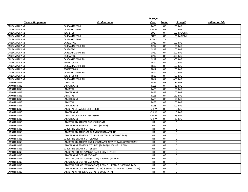|                          |                                                                   | Dosage      |           |             |                         |
|--------------------------|-------------------------------------------------------------------|-------------|-----------|-------------|-------------------------|
| <b>Generic Drug Name</b> | <b>Product name</b>                                               | Form        | Route     | Strength    | <b>Utilization Edit</b> |
| CARBAMAZEPINE            | CARBAMAZEPINE                                                     | <b>TABS</b> | <b>OR</b> | 200 MG      |                         |
| CARBAMAZEPINE            | CARBAMAZEPINE                                                     | <b>CHEW</b> | <b>OR</b> | 100 MG      |                         |
| CARBAMAZEPINE            | <b>TEGRETOL</b>                                                   | <b>SUSP</b> | OR        | 100 MG/5ML  |                         |
| CARBAMAZEPINE            | CARBAMAZEPINE                                                     | <b>SUSP</b> | OR        | 100 MG/5ML  |                         |
| CARBAMAZEPINE            | CARBAMAZEPINE                                                     | POWD        | XX        | $\mathbf 0$ |                         |
| CARBAMAZEPINE            | CARBATROL                                                         | CP12        | OR        | 100 MG      |                         |
| CARBAMAZEPINE            | <b>CARBAMAZEPINE ER</b>                                           | CP12        | <b>OR</b> | 100 MG      |                         |
| CARBAMAZEPINE            | CARBATROL                                                         | CP12        | OR        | 200 MG      |                         |
| CARBAMAZEPINE            | CARBAMAZEPINE ER                                                  | CP12        | <b>OR</b> | 200 MG      |                         |
| CARBAMAZEPINE            | CARBATROL                                                         | CP12        | <b>OR</b> | 300 MG      |                         |
| CARBAMAZEPINE            | CARBAMAZEPINE ER                                                  | CP12        | OR        | 300 MG      |                         |
| CARBAMAZEPINE            | <b>TEGRETOL-XR</b>                                                | <b>TB12</b> | OR        | 100 MG      |                         |
| CARBAMAZEPINE            | <b>CARBAMAZEPINE ER</b>                                           | <b>TB12</b> | OR        | 100 MG      |                         |
| CARBAMAZEPINE            | <b>TEGRETOL-XR</b>                                                | <b>TB12</b> | <b>OR</b> | 200 MG      |                         |
| CARBAMAZEPINE            | <b>CARBAMAZEPINE ER</b>                                           | <b>TB12</b> | <b>OR</b> | 200 MG      |                         |
| CARBAMAZEPINE            | <b>TEGRETOL-XR</b>                                                | <b>TB12</b> | OR        | 400 MG      |                         |
| CARBAMAZEPINE            | <b>CARBAMAZEPINE ER</b>                                           | <b>TB12</b> | OR        | 400 MG      |                         |
| LAMOTRIGINE              | LAMICTAL                                                          | <b>TABS</b> | OR        | 25 MG       |                         |
| LAMOTRIGINE              | LAMOTRIGINE                                                       | <b>TABS</b> | <b>OR</b> | 25 MG       |                         |
| LAMOTRIGINE              | LAMICTAL                                                          | <b>TABS</b> | <b>OR</b> | 100 MG      |                         |
| LAMOTRIGINE              | LAMOTRIGINE                                                       | <b>TABS</b> | OR        | 100 MG      |                         |
| LAMOTRIGINE              | LAMICTAL                                                          | <b>TABS</b> | <b>OR</b> | 150 MG      |                         |
| LAMOTRIGINE              | <b>LAMOTRIGINE</b>                                                | <b>TABS</b> | <b>OR</b> | 150 MG      |                         |
| LAMOTRIGINE              | LAMICTAL                                                          | <b>TABS</b> | <b>OR</b> | 200 MG      |                         |
| LAMOTRIGINE              | <b>LAMOTRIGINE</b>                                                | <b>TABS</b> | OR        | 200 MG      |                         |
| LAMOTRIGINE              | LAMICTAL CHEWABLE DISPERSIBLE                                     | <b>CHEW</b> | <b>OR</b> | 5 MG        |                         |
| LAMOTRIGINE              | <b>LAMOTRIGINE</b>                                                | <b>CHEW</b> | <b>OR</b> | 5 MG        |                         |
| LAMOTRIGINE              | LAMICTAL CHEWABLE DISPERSIBLE                                     | <b>CHEW</b> | <b>OR</b> | 25 MG       |                         |
| LAMOTRIGINE              | LAMOTRIGINE                                                       | <b>CHEW</b> | OR        | 25 MG       |                         |
| LAMOTRIGINE              | LAMICTAL STARTER/TAKING VALPROATE                                 | KIT         | OR        | $\mathbf 0$ |                         |
| LAMOTRIGINE              | LAMOTRIGINE STARTER KIT 25MG (35 TAB)                             | KIT         | OR        | $\mathbf 0$ |                         |
| LAMOTRIGINE              | SUBVENITE STARTER KIT/BLUE                                        | KIT         | OR        | $\mathbf 0$ |                         |
| LAMOTRIGINE              | LAMICTAL STARTER/NOT TAKING CARBAMAZEPINE                         | KIT         | <b>OR</b> | $\mathbf 0$ |                         |
| LAMOTRIGINE              | LAMOTRIGINE STARTER KIT 25 MG (42 TAB) & 100MG (7 TAB)            | KIT         | OR        | $\mathbf 0$ |                         |
| LAMOTRIGINE              | SUBVENITE STARTER KIT/ORANGE                                      | KIT         | <b>OR</b> | $\mathbf 0$ |                         |
| LAMOTRIGINE              | LAMICTAL STARTER/TAKING CARBAMAZEPINE/NOT TAKING VALPROATE        | KIT         | OR        | $\Omega$    |                         |
| LAMOTRIGINE              | LAMOTRIGINE STARTER KIT 25MG (84 TAB) & 100MG (14 TAB)            | KIT         | OR        | $\mathbf 0$ |                         |
| LAMOTRIGINE              | SUBVENITE STARTER KIT/GREEN                                       | KIT         | OR        | $\mathbf 0$ |                         |
| LAMOTRIGINE              | LAMICTAL ODT KIT 25MG (21 TAB) & 50MG (7 TAB)                     | KIT         | OR        | $\mathbf 0$ |                         |
| LAMOTRIGINE              | LAMOTRIGINE ODT KIT 25/50MG                                       | KIT         | <b>OR</b> | $\mathsf 0$ |                         |
| LAMOTRIGINE              | LAMICTAL ODT KIT 50MG (42 TAB) & 100MG (14 TAB)                   | KIT         | <b>OR</b> | $\mathbf 0$ |                         |
| LAMOTRIGINE              | LAMOTRIGINE ODT KIT 50/100MG                                      | KIT         | OR        | $\mathsf 0$ |                         |
| LAMOTRIGINE              | LAMICTAL ODT KIT 25MG (14 TAB) & 50MG (14 TAB) & 100MG (7 TAB)    | KIT         | OR        | $\mathbf 0$ |                         |
| LAMOTRIGINE              | LAMOTRIGINE ODT KIT 25MG (14 TAB) & 50MG (14 TAB) & 100MG (7 TAB) | KIT         | OR        | $\mathbf 0$ |                         |
| <b>LAMOTRIGINE</b>       | LAMICTAL XR KIT 25MG (21 TAB) & 50MG (7 TAB)                      | KIT         | <b>OR</b> | $\mathbf 0$ |                         |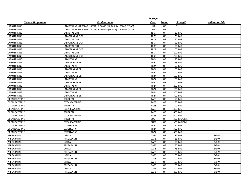|                          |                                                                | Dosage      |           |             |                         |
|--------------------------|----------------------------------------------------------------|-------------|-----------|-------------|-------------------------|
| <b>Generic Drug Name</b> | <b>Product name</b>                                            | Form        | Route     | Strength    | <b>Utilization Edit</b> |
| LAMOTRIGINE              | LAMICTAL XR KIT 25MG (14 TAB) & 50MG (14 TAB) & 100MG (7 TAB)  | KIT         | OR        | $\mathbf 0$ |                         |
| LAMOTRIGINE              | LAMICTAL XR KIT 50MG (14 TAB) & 100MG (14 TAB) & 200MG (7 TAB) | KIT         | <b>OR</b> | 0           |                         |
| LAMOTRIGINE              | <b>LAMICTAL ODT</b>                                            | <b>TBDP</b> | <b>OR</b> | 25 MG       |                         |
| LAMOTRIGINE              | <b>LAMOTRIGINE ODT</b>                                         | <b>TBDP</b> | OR        | 25 MG       |                         |
| LAMOTRIGINE              | <b>LAMICTAL ODT</b>                                            | <b>TBDP</b> | <b>OR</b> | 50 MG       |                         |
| LAMOTRIGINE              | <b>LAMOTRIGINE ODT</b>                                         | <b>TBDP</b> | <b>OR</b> | 50 MG       |                         |
| LAMOTRIGINE              | <b>LAMICTAL ODT</b>                                            | <b>TBDP</b> | <b>OR</b> | 100 MG      |                         |
| LAMOTRIGINE              | <b>LAMOTRIGINE ODT</b>                                         | <b>TBDP</b> | <b>OR</b> | 100 MG      |                         |
| LAMOTRIGINE              | <b>LAMICTAL ODT</b>                                            | <b>TBDP</b> | OR        | 200 MG      |                         |
| LAMOTRIGINE              | <b>LAMOTRIGINE ODT</b>                                         | <b>TBDP</b> | <b>OR</b> | 200 MG      |                         |
| LAMOTRIGINE              | <b>LAMICTAL XR</b>                                             | <b>TB24</b> | OR        | 25 MG       |                         |
| LAMOTRIGINE              | <b>LAMOTRIGINE ER</b>                                          | <b>TB24</b> | <b>OR</b> | 25 MG       |                         |
| LAMOTRIGINE              | <b>LAMICTAL XR</b>                                             | <b>TB24</b> | <b>OR</b> | 50 MG       |                         |
| LAMOTRIGINE              | <b>LAMOTRIGINE ER</b>                                          | <b>TB24</b> | OR        | 50 MG       |                         |
| LAMOTRIGINE              | <b>LAMICTAL XR</b>                                             | <b>TB24</b> | <b>OR</b> | 100 MG      |                         |
| LAMOTRIGINE              | <b>LAMOTRIGINE ER</b>                                          | <b>TB24</b> | OR        | 100 MG      |                         |
| LAMOTRIGINE              | <b>LAMICTAL XR</b>                                             | <b>TB24</b> | OR        | 200 MG      |                         |
| LAMOTRIGINE              | <b>LAMOTRIGINE ER</b>                                          | <b>TB24</b> | OR        | 200 MG      |                         |
| LAMOTRIGINE              | <b>LAMICTAL XR</b>                                             | <b>TB24</b> | <b>OR</b> | 250 MG      |                         |
| LAMOTRIGINE              | <b>LAMOTRIGINE ER</b>                                          | <b>TB24</b> | <b>OR</b> | 250 MG      |                         |
| LAMOTRIGINE              | <b>LAMICTAL XR</b>                                             | <b>TB24</b> | OR        | 300 MG      |                         |
| LAMOTRIGINE              | <b>LAMOTRIGINE ER</b>                                          | <b>TB24</b> | <b>OR</b> | 300 MG      |                         |
| OXCARBAZEPINE            | TRILEPTAL                                                      | <b>TABS</b> | OR        | 150 MG      |                         |
| OXCARBAZEPINE            | OXCARBAZEPINE                                                  | <b>TABS</b> | OR        | 150 MG      |                         |
| OXCARBAZEPINE            | TRILEPTAL                                                      | <b>TABS</b> | OR        | 300 MG      |                         |
| OXCARBAZEPINE            | OXCARBAZEPINE                                                  | <b>TABS</b> | <b>OR</b> | 300 MG      |                         |
| OXCARBAZEPINE            | TRILEPTAL                                                      | <b>TABS</b> | <b>OR</b> | 600 MG      |                         |
| OXCARBAZEPINE            | OXCARBAZEPINE                                                  | <b>TABS</b> | OR        | 600 MG      |                         |
| OXCARBAZEPINE            | TRILEPTAL                                                      | <b>SUSP</b> | OR        | 300 MG/5ML  |                         |
| OXCARBAZEPINE            | OXCARBAZEPINE                                                  | <b>SUSP</b> | <b>OR</b> | 300 MG/5ML  |                         |
| OXCARBAZEPINE            | <b>OXTELLAR XR</b>                                             | <b>TB24</b> | OR        | 150 MG      |                         |
| OXCARBAZEPINE            | <b>OXTELLAR XR</b>                                             | <b>TB24</b> | OR        | 300 MG      |                         |
| OXCARBAZEPINE            | <b>OXTELLAR XR</b>                                             | <b>TB24</b> | OR        | 600 MG      |                         |
| PREGABALIN               | <b>LYRICA</b>                                                  | CAPS        | <b>OR</b> | 25 MG       | 3/DAY                   |
| PREGABALIN               | PREGABALIN                                                     | CAPS        | OR        | 25 MG       | 3/DAY                   |
| PREGABALIN               | <b>LYRICA</b>                                                  | CAPS        | OR        | 50 MG       | 3/DAY                   |
| PREGABALIN               | PREGABALIN                                                     | CAPS        | <b>OR</b> | 50 MG       | 3/DAY                   |
| PREGABALIN               | LYRICA                                                         | CAPS        | OR        | 75 MG       | 3/DAY                   |
| PREGABALIN               | PREGABALIN                                                     | CAPS        | <b>OR</b> | 75 MG       | 3/DAY                   |
| PREGABALIN               | LYRICA                                                         | CAPS        | OR        | 100 MG      | 3/DAY                   |
| PREGABALIN               | PREGABALIN                                                     | CAPS        | OR        | 100 MG      | 3/DAY                   |
| PREGABALIN               | LYRICA                                                         | CAPS        | OR        | 150 MG      | 3/DAY                   |
| PREGABALIN               | PREGABALIN                                                     | CAPS        | OR        | 150 MG      | 3/DAY                   |
| PREGABALIN               | <b>LYRICA</b>                                                  | <b>CAPS</b> | <b>OR</b> | 200 MG      | 3/DAY                   |
| PREGABALIN               | PREGABALIN                                                     | CAPS        | OR        | 200 MG      | 3/DAY                   |
|                          |                                                                |             |           |             |                         |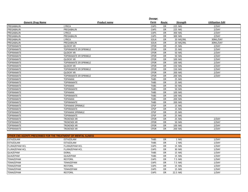|                                                                        |                               | <u>Dosage</u> |           |          |                         |
|------------------------------------------------------------------------|-------------------------------|---------------|-----------|----------|-------------------------|
| <b>Generic Drug Name</b>                                               | Product name                  | Form          | Route     | Strength | <b>Utilization Edit</b> |
| PREGABALIN                                                             | <b>LYRICA</b>                 | CAPS          | OR        | 225 MG   | 2/DAY                   |
| PREGABALIN                                                             | PREGABALIN                    | CAPS          | OR        | 225 MG   | 2/DAY                   |
| PREGABALIN                                                             | <b>LYRICA</b>                 | CAPS          | <b>OR</b> | 300 MG   | 2/DAY                   |
| PREGABALIN                                                             | PREGABALIN                    | CAPS          | <b>OR</b> | 300 MG   | 2/DAY                   |
| PREGABALIN                                                             | LYRICA                        | SOLN          | OR        | 20 MG/ML | 30ML/DAY                |
| PREGABALIN                                                             | PREGABALIN                    | SOLN          | <b>OR</b> | 20 MG/ML | 30ML/DAY                |
| <b>TOPIRAMATE</b>                                                      | <b>QUDEXY XR</b>              | <b>CPDR</b>   | <b>OR</b> | 25 MG    | 2/DAY                   |
| <b>TOPIRAMATE</b>                                                      | TOPIRAMATE ER SPRINKLE        | <b>CPDR</b>   | <b>OR</b> | 25 MG    | 2/DAY                   |
| <b>TOPIRAMATE</b>                                                      | <b>QUDEXY XR</b>              | <b>CPDR</b>   | OR        | 50 MG    | 2/DAY                   |
| <b>TOPIRAMATE</b>                                                      | TOPIRAMATE ER SPRINKLE        | <b>CPDR</b>   | <b>OR</b> | 50 MG    | 2/DAY                   |
| <b>TOPIRAMATE</b>                                                      | <b>QUDEXY XR</b>              | <b>CPDR</b>   | OR        | 100 MG   | 2/DAY                   |
| <b>TOPIRAMATE</b>                                                      | TOPIRAMATE ER SPRINKLE        | <b>CPDR</b>   | OR        | 100 MG   | 2/DAY                   |
| <b>TOPIRAMATE</b>                                                      | <b>QUDEXY XR</b>              | <b>CPDR</b>   | <b>OR</b> | 150 MG   | 2/DAY                   |
| <b>TOPIRAMATE</b>                                                      | <b>TOPIRAMATE ER SPRINKLE</b> | <b>CPDR</b>   | <b>OR</b> | 150 MG   | 2/DAY                   |
| <b>TOPIRAMATE</b>                                                      | <b>QUDEXY XR</b>              | <b>CPDR</b>   | <b>OR</b> | 200 MG   | 2/DAY                   |
| <b>TOPIRAMATE</b>                                                      | TOPIRAMATE ER SPRINKLE        | <b>CPDR</b>   | OR        | 200 MG   | 2/DAY                   |
| <b>TOPIRAMATE</b>                                                      | <b>TOPAMAX</b>                | <b>TABS</b>   | OR        | 25 MG    |                         |
| <b>TOPIRAMATE</b>                                                      | <b>TOPIRAMATE</b>             | <b>TABS</b>   | <b>OR</b> | 25 MG    |                         |
| <b>TOPIRAMATE</b>                                                      | <b>TOPAMAX</b>                | <b>TABS</b>   | OR        | 50 MG    |                         |
| <b>TOPIRAMATE</b>                                                      | <b>TOPIRAMATE</b>             | <b>TABS</b>   | <b>OR</b> | 50 MG    |                         |
| <b>TOPIRAMATE</b>                                                      | <b>TOPAMAX</b>                | <b>TABS</b>   | <b>OR</b> | 100 MG   |                         |
| <b>TOPIRAMATE</b>                                                      | <b>TOPIRAMATE</b>             | <b>TABS</b>   | <b>OR</b> | 100 MG   |                         |
| <b>TOPIRAMATE</b>                                                      | <b>TOPAMAX</b>                | <b>TABS</b>   | <b>OR</b> | 200 MG   |                         |
| TOPIRAMATE                                                             | <b>TOPIRAMATE</b>             | <b>TABS</b>   | <b>OR</b> | 200 MG   |                         |
| <b>TOPIRAMATE</b>                                                      | <b>TOPAMAX SPRINKLE</b>       | <b>CPSP</b>   | OR        | 15 MG    |                         |
| <b>TOPIRAMATE</b>                                                      | <b>TOPIRAMATE</b>             | <b>CPSP</b>   | OR        | 15 MG    |                         |
| <b>TOPIRAMATE</b>                                                      | <b>TOPAMAX SPRINKLE</b>       | <b>CPSP</b>   | OR        | 25 MG    |                         |
| <b>TOPIRAMATE</b>                                                      | <b>TOPIRAMATE</b>             | <b>CPSP</b>   | OR        | 25 MG    |                         |
| <b>TOPIRAMATE</b>                                                      | <b>TROKENDI XR</b>            | <b>CPDR</b>   | <b>OR</b> | 25 MG    | 2/DAY                   |
| <b>TOPIRAMATE</b>                                                      | <b>TROKENDI XR</b>            | <b>CPDR</b>   | OR        | 50 MG    | 2/DAY                   |
| <b>TOPIRAMATE</b>                                                      | <b>TROKENDI XR</b>            | <b>CPDR</b>   | <b>OR</b> | 100 MG   | 2/DAY                   |
| <b>TOPIRAMATE</b>                                                      | <b>TROKENDI XR</b>            | <b>CPDR</b>   | <b>OR</b> | 200 MG   | 2/DAY                   |
|                                                                        |                               |               |           |          |                         |
| <b>OTHER CNS AGENTS PRESCRIBED FOR THE TREATMENT OF MENTAL ILLNESS</b> |                               |               |           |          |                         |
| <b>ESTAZOLAM</b>                                                       | ESTAZOLAM                     | <b>TABS</b>   | OR        | 1 MG     | 1/DAY                   |
| <b>ESTAZOLAM</b>                                                       | ESTAZOLAM                     | <b>TABS</b>   | OR        | 2 MG     | 1/DAY                   |
| <b>FLURAZEPAM HCL</b>                                                  | FLURAZEPAM HCL                | CAPS          | OR        | 15 MG    | 1/DAY                   |
| FLURAZEPAM HCL                                                         | FLURAZEPAM HCL                | CAPS          | OR        | 30 MG    | 1/DAY                   |
| QUAZEPAM                                                               | <b>DORAL</b>                  | <b>TABS</b>   | OR        | 15 MG    | 1/DAY                   |
| QUAZEPAM                                                               | QUAZEPAM                      | <b>TABS</b>   | OR        | 15 MG    | 1/DAY                   |
| TEMAZEPAM                                                              | <b>RESTORIL</b>               | CAPS          | <b>OR</b> | 7.5 MG   | 1/DAY                   |
| TEMAZEPAM                                                              | TEMAZEPAM                     | CAPS          | <b>OR</b> | 7.5 MG   | 1/DAY                   |
| <b>TEMAZEPAM</b>                                                       | <b>RESTORIL</b>               | CAPS          | <b>OR</b> | 15 MG    | 1/DAY                   |

TEMAZEPAM TEMAZEPAM CAPS OR 15 MG 1/DAY TEMAZEPAM RESTORIL CAPS OR 22.5 MG 1/DAY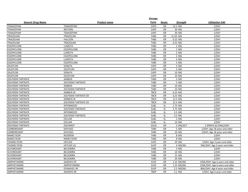|                          |                             | <b>Dosage</b> |           |                  |                                 |
|--------------------------|-----------------------------|---------------|-----------|------------------|---------------------------------|
| <b>Generic Drug Name</b> | Product name                | Form          | Route     | <b>Strength</b>  | <b>Utilization Edit</b>         |
| TEMAZEPAM                | TEMAZEPAM                   | CAPS          | OR        | 22.5 MG          | 1/DAY                           |
| TEMAZEPAM                | <b>RESTORIL</b>             | CAPS          | <b>OR</b> | 30 MG            | 1/DAY                           |
| TEMAZEPAM                | TEMAZEPAM                   | CAPS          | OR        | 30 MG            | 1/DAY                           |
| TRIAZOLAM                | TRIAZOLAM                   | <b>TABS</b>   | OR        | 0.125 MG         | 1/DAY                           |
| TRIAZOLAM                | <b>HALCION</b>              | <b>TABS</b>   | OR        | 0.25 MG          | 1/DAY                           |
| TRIAZOLAM                | TRIAZOLAM                   | <b>TABS</b>   | OR        | 0.25 MG          | 1/DAY                           |
| <b>ESZOPICLONE</b>       | LUNESTA                     | <b>TABS</b>   | <b>OR</b> | 1 MG             | 1/DAY                           |
| <b>ESZOPICLONE</b>       | <b>ESZOPICLONE</b>          | <b>TABS</b>   | <b>OR</b> | 1 MG             | 1/DAY                           |
| <b>ESZOPICLONE</b>       | <b>LUNESTA</b>              | <b>TABS</b>   | <b>OR</b> | 2 MG             | 1/DAY                           |
| <b>ESZOPICLONE</b>       | <b>ESZOPICLONE</b>          | <b>TABS</b>   | OR        | 2 MG             | 1/DAY                           |
| <b>ESZOPICLONE</b>       | LUNESTA                     | <b>TABS</b>   | OR        | 3 MG             | 1/DAY                           |
| <b>ESZOPICLONE</b>       | <b>ESZOPICLONE</b>          | <b>TABS</b>   | <b>OR</b> | 3 MG             | 1/DAY                           |
| ZALEPLON                 | SONATA                      | CAPS          | OR        | 5 MG             | 2/DAY                           |
| ZALEPLON                 | ZALEPLON                    | CAPS          | OR        | 5 MG             | 2/DAY                           |
| ZALEPLON                 | SONATA                      | CAPS          | OR        | 10 MG            | 2/DAY                           |
| ZALEPLON                 | ZALEPLON                    | CAPS          | OR        | 10 MG            | 2/DAY                           |
| ZOLPIDEM TARTRATE        | AMBIEN                      | <b>TABS</b>   | OR        | 5 MG             | 1/DAY                           |
| <b>ZOLPIDEM TARTRATE</b> | <b>ZOLPIDEM TARTRATE</b>    | <b>TABS</b>   | OR        | 5 MG             | 1/DAY                           |
| ZOLPIDEM TARTRATE        | AMBIEN                      | <b>TABS</b>   | OR        | 10 MG            | 1/DAY                           |
| ZOLPIDEM TARTRATE        | <b>ZOLPIDEM TARTRATE</b>    | <b>TABS</b>   | <b>OR</b> | 10 MG            | 1/DAY                           |
| <b>ZOLPIDEM TARTRATE</b> | <b>AMBIEN CR</b>            | TBCR          | <b>OR</b> | 6.25 MG          | 1/DAY                           |
| <b>ZOLPIDEM TARTRATE</b> | <b>ZOLPIDEM TARTRATE ER</b> | <b>TBCR</b>   | <b>OR</b> | 6.25 MG          | 1/DAY                           |
| <b>ZOLPIDEM TARTRATE</b> | <b>AMBIEN CR</b>            | <b>TBCR</b>   | OR        | 12.5 MG          | 1/DAY                           |
| ZOLPIDEM TARTRATE        | <b>ZOLPIDEM TARTRATE ER</b> | <b>TBCR</b>   | OR        | 12.5 MG          | 1/DAY                           |
| <b>ZOLPIDEM TARTRATE</b> | <b>INTERMEZZO</b>           | <b>SUBL</b>   | <b>SL</b> | 1.75 MG          | 1/DAY                           |
| <b>ZOLPIDEM TARTRATE</b> | <b>ZOLPIDEM TARTRATE</b>    | <b>SUBL</b>   | <b>SL</b> | 1.75 MG          | 1/DAY                           |
| ZOLPIDEM TARTRATE        | <b>INTERMEZZO</b>           | SUBL          | <b>SL</b> | 3.5 <sub>M</sub> | 1/DAY                           |
| <b>ZOLPIDEM TARTRATE</b> | <b>ZOLPIDEM TARTRATE</b>    | <b>SUBL</b>   | <b>SL</b> | 3.5 MG           | 1/DAY                           |
| <b>ZOLPIDEM TARTRATE</b> | <b>EDLUAR</b>               | SUBL          | <b>SL</b> | 5 MG             | 1/DAY                           |
| <b>ZOLPIDEM TARTRATE</b> | <b>EDLUAR</b>               | <b>SUBL</b>   | <b>SL</b> | 10 MG            | 1/DAY                           |
| ZOLPIDEM TARTRATE        | <b>ZOLPIMIST</b>            | SOLN          | OR        | 5 MG/ACT         | 2 SPRAYS (0.25ML)/DAY           |
| LEMBOREXANT              | <b>DAYVIGO</b>              | <b>TABS</b>   | OR        | 5 MG             | 1/DAY; Age 18 years and older   |
| LEMBOREXANT              | <b>DAYVIGO</b>              | <b>TABS</b>   | <b>OR</b> | 10 MG            | 1/DAY; Age 18 years and older   |
| RAMELTEON                | <b>ROZEREM</b>              | <b>TABS</b>   | OR        | 8 MG             | 1/DAY                           |
| RAMELTEON                | RAMELTEON                   | <b>TABS</b>   | <b>OR</b> | 8 MG             | 1/DAY                           |
| <b>TASIMELTEON</b>       | <b>HETLIOZ</b>              | CAPS          | <b>OR</b> | 20 MG            | 1/DAY; Age 3 years and older    |
| <b>TASIMELTEON</b>       | <b>HETLIOZ LQ</b>           | SUSP          | OR        | 4 MG/ML          | 5ML/DAY; Age 3 years and older  |
| SUVOREXANT               | <b>BELSOMRA</b>             | <b>TABS</b>   | OR        | 5 MG             | 1/DAY                           |
| SUVOREXANT               | <b>BELSOMRA</b>             | <b>TABS</b>   | OR        | 10 MG            | 1/DAY                           |
| SUVOREXANT               | <b>BELSOMRA</b>             | <b>TABS</b>   | OR        | 15 MG            | 1/DAY                           |
| SUVOREXANT               | <b>BELSOMRA</b>             | <b>TABS</b>   | <b>OR</b> | 20 MG            | 1/DAY                           |
| AMPHETAMINE              | <b>ADZENYS ER</b>           | SUSP          | OR        | 1.25 MG/ML       | 15ML/DAY; Age 6 years and older |
| AMPHETAMINE              | AMPHETAMINE                 | SUSP          | OR        | 1.25 MG/ML       | 15ML/DAY; Age 6 years and older |
| AMPHETAMINE              | <b>DYANAVEL XR</b>          | SUSP          | <b>OR</b> | 2.5 MG/ML        | 8ML/DAY; Age 6 years and older  |
| AMPHETAMINE              | <b>ADZENYS XR</b>           | <b>TBDP</b>   | OR        | 3.1 MG           | 1/DAY; Age 6 years and older    |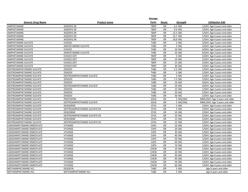|                             |                              | Dosage      |           |                 |                                 |
|-----------------------------|------------------------------|-------------|-----------|-----------------|---------------------------------|
| <b>Generic Drug Name</b>    | <b>Product name</b>          | <b>Form</b> | Route     | <b>Strength</b> | <b>Utilization Edit</b>         |
| AMPHETAMINE                 | <b>ADZENYS XR</b>            | <b>TBDP</b> | <b>OR</b> | 6.3 MG          | 1/DAY; Age 6 years and older    |
| <b>AMPHETAMINE</b>          | <b>ADZENYS XR</b>            | <b>TBDP</b> | <b>OR</b> | 9.4 MG          | 1/DAY; Age 6 years and older    |
| AMPHETAMINE                 | <b>ADZENYS XR</b>            | <b>TBDP</b> | OR        | 12.5 MG         | 1/DAY; Age 6 years and older    |
| AMPHETAMINE                 | <b>ADZENYS XR</b>            | <b>TBDP</b> | OR        | 15.7 MG         | 1/DAY; Age 6 years and older    |
| AMPHETAMINE                 | <b>ADZENYS XR</b>            | <b>TBDP</b> | <b>OR</b> | 18.8 MG         | 1/DAY; Age 6 years and older    |
| <b>AMPHETAMINE SULFATE</b>  | <b>EVEKEO</b>                | <b>TABS</b> | OR        | 5 MG            | 2/DAY; Age 3 years and older    |
| AMPHETAMINE SULFATE         | AMPHETAMINE SULFATE          | <b>TABS</b> | <b>OR</b> | 5 MG            | 2/DAY; Age 3 years and older    |
| <b>AMPHETAMINE SULFATE</b>  | <b>EVEKEO</b>                | <b>TABS</b> | <b>OR</b> | 10 MG           | 6/DAY; Age 3 years and older    |
| <b>AMPHETAMINE SULFATE</b>  | AMPHETAMINE SULFATE          | <b>TABS</b> | <b>OR</b> | 10 MG           | 6/DAY; Age 3 years and older    |
| <b>AMPHETAMINE SULFATE</b>  | <b>EVEKEO ODT</b>            | <b>TBDP</b> | OR        | 5 MG            | 2/DAY; Age 6 years and older    |
| <b>AMPHETAMINE SULFATE</b>  | <b>EVEKEO ODT</b>            | <b>TBDP</b> | <b>OR</b> | 10 MG           | 2/DAY; Age 6 years and older    |
| <b>AMPHETAMINE SULFATE</b>  | <b>EVEKEO ODT</b>            | <b>TBDP</b> | <b>OR</b> | 15 MG           | 2/DAY; Age 6 years and older    |
| <b>AMPHETAMINE SULFATE</b>  | <b>EVEKEO ODT</b>            | <b>TBDP</b> | OR        | 20 MG           | 2/DAY; Age 6 years and older    |
| DEXTROAMPHETAMINE SULFATE   | ZENZEDI                      | <b>TABS</b> | OR        | 2.5 MG          | 1/DAY; Age 3 years and older    |
| DEXTROAMPHETAMINE SULFATE   | ZENZEDI                      | <b>TABS</b> | OR        | 5 MG            | 1/DAY; Age 3 years and older    |
| DEXTROAMPHETAMINE SULFATE   | DEXTROAMPHETAMINE SULFATE    | <b>TABS</b> | OR        | 5 MG            | 1/DAY; Age 3 years and older    |
| DEXTROAMPHETAMINE SULFATE   | ZENZEDI                      | <b>TABS</b> | OR        | 7.5 MG          | 2/DAY; Age 3 years and older    |
| DEXTROAMPHETAMINE SULFATE   | ZENZEDI                      | <b>TABS</b> | OR        | 10 MG           | 4/DAY; Age 3 years and older    |
| DEXTROAMPHETAMINE SULFATE   | DEXTROAMPHETAMINE SULFATE    | <b>TABS</b> | OR        | 10 MG           | 4/DAY; Age 3 years and older    |
| DEXTROAMPHETAMINE SULFATE   | <b>ZENZEDI</b>               | <b>TABS</b> | <b>OR</b> | 15 MG           | 1/DAY; Age 3 years and older    |
| DEXTROAMPHETAMINE SULFATE   | <b>ZENZEDI</b>               | <b>TABS</b> | <b>OR</b> | 20 MG           | 2/DAY; Age 3 years and older    |
| DEXTROAMPHETAMINE SULFATE   | <b>ZENZEDI</b>               | <b>TABS</b> | <b>OR</b> | 30 MG           | 2/DAY; Age 3 years and older    |
| DEXTROAMPHETAMINE SULFATE   | <b>PROCENTRA</b>             | SOLN        | OR        | 5 MG/5ML        | 40ML/DAY; Age 3 years and older |
| DEXTROAMPHETAMINE SULFATE   | DEXTROAMPHETAMINE SULFATE    | SOLN        | <b>OR</b> | 5 MG/5ML        | 40ML/DAY; Age 3 years and older |
| DEXTROAMPHETAMINE SULFATE   | <b>DEXEDRINE</b>             | CP24        | <b>OR</b> | 5 MG            | 2/DAY; Age 6 years and older    |
| DEXTROAMPHETAMINE SULFATE   | DEXTROAMPHETAMINE SULFATE ER | CP24        | <b>OR</b> | 5 MG            | 2/DAY; Age 6 years and older    |
| DEXTROAMPHETAMINE SULFATE   | DEXEDRINE                    | CP24        | OR        | 10 MG           | 2/DAY; Age 6 years and older    |
| DEXTROAMPHETAMINE SULFATE   | DEXTROAMPHETAMINE SULFATE ER | <b>CP24</b> | <b>OR</b> | 10 MG           | 2/DAY; Age 6 years and older    |
| DEXTROAMPHETAMINE SULFATE   | <b>DEXEDRINE</b>             | CP24        | OR        | 15 MG           | 2/DAY; Age 6 years and older    |
| DEXTROAMPHETAMINE SULFATE   | DEXTROAMPHETAMINE SULFATE ER | CP24        | OR        | 15 MG           | 2/DAY; Age 6 years and older    |
| LISDEXAMFETAMINE DIMESYLATE | VYVANSE                      | CAPS        | OR        | 10 MG           | 1/DAY; Age 6 years and older    |
| LISDEXAMFETAMINE DIMESYLATE | VYVANSE                      | CAPS        | OR        | 20 MG           | 1/DAY; Age 6 years and older    |
| LISDEXAMFETAMINE DIMESYLATE | <b>VYVANSE</b>               | CAPS        | <b>OR</b> | 30 MG           | 1/DAY; Age 6 years and older    |
| LISDEXAMFETAMINE DIMESYLATE | <b>VYVANSE</b>               | CAPS        | <b>OR</b> | 40 MG           | 1/DAY; Age 6 years and older    |
| LISDEXAMFETAMINE DIMESYLATE | <b>VYVANSE</b>               | CAPS        | <b>OR</b> | 50 MG           | 1/DAY; Age 6 years and older    |
| LISDEXAMFETAMINE DIMESYLATE | VYVANSE                      | CAPS        | <b>OR</b> | 60 MG           | 1/DAY; Age 6 years and older    |
| LISDEXAMFETAMINE DIMESYLATE | VYVANSE                      | CAPS        | <b>OR</b> | 70 MG           | 1/DAY; Age 6 years and older    |
| LISDEXAMFETAMINE DIMESYLATE | VYVANSE                      | <b>CHEW</b> | <b>OR</b> | 10 MG           | 1/DAY; Age 6 years and older    |
| LISDEXAMFETAMINE DIMESYLATE | VYVANSE                      | <b>CHEW</b> | OR        | 20 MG           | 1/DAY; Age 6 years and older    |
| LISDEXAMFETAMINE DIMESYLATE | VYVANSE                      | <b>CHEW</b> | OR        | 30 MG           | 1/DAY; Age 6 years and older    |
| LISDEXAMFETAMINE DIMESYLATE | <b>VYVANSE</b>               | <b>CHEW</b> | <b>OR</b> | 40 MG           | 1/DAY; Age 6 years and older    |
| LISDEXAMFETAMINE DIMESYLATE | VYVANSE                      | <b>CHEW</b> | OR        | 50 MG           | 1/DAY; Age 6 years and older    |
| LISDEXAMFETAMINE DIMESYLATE | VYVANSE                      | <b>CHEW</b> | OR        | 60 MG           | 1/DAY; Age 6 years and older    |
| METHAMPHETAMINE HCL         | <b>DESOXYN</b>               | <b>TABS</b> | OR        | 5 MG            | Age 6 years and older           |
| METHAMPHETAMINE HCL         | METHAMPHETAMINE HCL          | <b>TABS</b> | OR        | 5 MG            | Age 6 years and older           |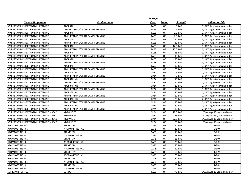|                                      |                               | Dosage      |           |                 |                               |
|--------------------------------------|-------------------------------|-------------|-----------|-----------------|-------------------------------|
| <b>Generic Drug Name</b>             | <b>Product name</b>           | Form        | Route     | <b>Strength</b> | <b>Utilization Edit</b>       |
| AMPHETAMINE-DEXTROAMPHETAMINE        | ADDERALL                      | <b>TABS</b> | <b>OR</b> | 5 MG            | 3/DAY; Age 3 years and older  |
| AMPHETAMINE-DEXTROAMPHETAMINE        | AMPHETAMINE/DEXTROAMPHETAMINE | <b>TABS</b> | <b>OR</b> | 5 MG            | 3/DAY; Age 3 years and older  |
| AMPHETAMINE-DEXTROAMPHETAMINE        | ADDERALL                      | <b>TABS</b> | <b>OR</b> | 7.5 MG          | 3/DAY; Age 3 years and older  |
| AMPHETAMINE-DEXTROAMPHETAMINE        | AMPHETAMINE/DEXTROAMPHETAMINE | <b>TABS</b> | <b>OR</b> | 7.5 MG          | 3/DAY; Age 3 years and older  |
| AMPHETAMINE-DEXTROAMPHETAMINE        | ADDERALL                      | <b>TABS</b> | <b>OR</b> | 10 MG           | 3/DAY; Age 3 years and older  |
| AMPHETAMINE-DEXTROAMPHETAMINE        | AMPHETAMINE/DEXTROAMPHETAMINE | <b>TABS</b> | <b>OR</b> | 10 MG           | 3/DAY; Age 3 years and older  |
| AMPHETAMINE-DEXTROAMPHETAMINE        | ADDERALL                      | <b>TABS</b> | <b>OR</b> | 12.5 MG         | 3/DAY; Age 3 years and older  |
| AMPHETAMINE-DEXTROAMPHETAMINE        | AMPHETAMINE/DEXTROAMPHETAMINE | <b>TABS</b> | <b>OR</b> | 12.5 MG         | 3/DAY; Age 3 years and older  |
| AMPHETAMINE-DEXTROAMPHETAMINE        | ADDERALL                      | <b>TABS</b> | <b>OR</b> | 15 MG           | 3/DAY; Age 3 years and older  |
| AMPHETAMINE-DEXTROAMPHETAMINE        | AMPHETAMINE/DEXTROAMPHETAMINE | <b>TABS</b> | <b>OR</b> | 15 MG           | 3/DAY; Age 3 years and older  |
| AMPHETAMINE-DEXTROAMPHETAMINE        | ADDERALL                      | <b>TABS</b> | <b>OR</b> | 20 MG           | 3/DAY; Age 3 years and older  |
| AMPHETAMINE-DEXTROAMPHETAMINE        | AMPHETAMINE/DEXTROAMPHETAMINE | <b>TABS</b> | <b>OR</b> | 20 MG           | 3/DAY; Age 3 years and older  |
| AMPHETAMINE-DEXTROAMPHETAMINE        | ADDERALL                      | <b>TABS</b> | <b>OR</b> | 30 MG           | 3/DAY; Age 3 years and older  |
| AMPHETAMINE-DEXTROAMPHETAMINE        | AMPHETAMINE/DEXTROAMPHETAMINE | <b>TABS</b> | <b>OR</b> | 30 MG           | 3/DAY; Age 3 years and older  |
| AMPHETAMINE-DEXTROAMPHETAMINE        | <b>ADDERALL XR</b>            | CP24        | <b>OR</b> | 5 MG            | 1/DAY; Age 6 years and older  |
| AMPHETAMINE-DEXTROAMPHETAMINE        | AMPHETAMINE/DEXTROAMPHETAMINE | CP24        | <b>OR</b> | 5 MG            | 1/DAY; Age 6 years and older  |
| AMPHETAMINE-DEXTROAMPHETAMINE        | <b>ADDERALL XR</b>            | <b>CP24</b> | <b>OR</b> | 10 MG           | 1/DAY; Age 6 years and older  |
| AMPHETAMINE-DEXTROAMPHETAMINE        | AMPHETAMINE/DEXTROAMPHETAMINE | <b>CP24</b> | <b>OR</b> | 10 MG           | 1/DAY; Age 6 years and older  |
| AMPHETAMINE-DEXTROAMPHETAMINE        | <b>ADDERALL XR</b>            | CP24        | <b>OR</b> | 15 MG           | 1/DAY; Age 6 years and older  |
| AMPHETAMINE-DEXTROAMPHETAMINE        | AMPHETAMINE/DEXTROAMPHETAMINE | CP24        | <b>OR</b> | 15 MG           | 1/DAY; Age 6 years and older  |
| AMPHETAMINE-DEXTROAMPHETAMINE        | <b>ADDERALL XR</b>            | CP24        | <b>OR</b> | 20 MG           | 2/DAY; Age 6 years and older  |
| AMPHETAMINE-DEXTROAMPHETAMINE        | AMPHETAMINE/DEXTROAMPHETAMINE | CP24        | <b>OR</b> | 20 MG           | 2/DAY; Age 6 years and older  |
| AMPHETAMINE-DEXTROAMPHETAMINE        | <b>ADDERALL XR</b>            | CP24        | <b>OR</b> | 25 MG           | 2/DAY; Age 6 years and older  |
| AMPHETAMINE-DEXTROAMPHETAMINE        | AMPHETAMINE/DEXTROAMPHETAMINE | <b>CP24</b> | <b>OR</b> | 25 MG           | 2/DAY; Age 6 years and older  |
| AMPHETAMINE-DEXTROAMPHETAMINE        | <b>ADDERALL XR</b>            | <b>CP24</b> | <b>OR</b> | 30 MG           | 2/DAY; Age 6 years and older  |
| AMPHETAMINE-DEXTROAMPHETAMINE        | AMPHETAMINE/DEXTROAMPHETAMINE | CP24        | <b>OR</b> | 30 MG           | 2/DAY; Age 6 years and older  |
| AMPHETAMINE-DEXTROAMPHETAMINE 3-BEAD | <b>MYDAYIS ER</b>             | CP24        | <b>OR</b> | 12.5 MG         | 1/DAY; Age 13 years and older |
| AMPHETAMINE-DEXTROAMPHETAMINE 3-BEAD | <b>MYDAYIS ER</b>             | CP24        | <b>OR</b> | 25 MG           | 1/DAY; Age 13 years and older |
| AMPHETAMINE-DEXTROAMPHETAMINE 3-BEAD | <b>MYDAYIS ER</b>             | CP24        | <b>OR</b> | 37.5 MG         | 1/DAY; Age 18 years and older |
| AMPHETAMINE-DEXTROAMPHETAMINE 3-BEAD | <b>MYDAYIS ER</b>             | CP24        | <b>OR</b> | 50 MG           | 1/DAY; Age 18 years and older |
| <b>ATOMOXETINE HCL</b>               | <b>STRATTERA</b>              | CAPS        | <b>OR</b> | 10 MG           | 2/DAY                         |
| <b>ATOMOXETINE HCL</b>               | <b>ATOMOXETINE HCL</b>        | CAPS        | <b>OR</b> | 10 MG           | 2/DAY                         |
| <b>ATOMOXETINE HCL</b>               | <b>STRATTERA</b>              | CAPS        | <b>OR</b> | 18 MG           | 2/DAY                         |
| <b>ATOMOXETINE HCL</b>               | <b>ATOMOXETINE HCL</b>        | CAPS        | <b>OR</b> | 18 MG           | 2/DAY                         |
| <b>ATOMOXETINE HCL</b>               | <b>STRATTERA</b>              | <b>CAPS</b> | <b>OR</b> | 25 MG           | 2/DAY                         |
| <b>ATOMOXETINE HCL</b>               | <b>ATOMOXETINE HCL</b>        | CAPS        | <b>OR</b> | 25 MG           | 2/DAY                         |
| <b>ATOMOXETINE HCL</b>               | <b>STRATTERA</b>              | CAPS        | <b>OR</b> | 40 MG           | 2/DAY                         |
| <b>ATOMOXETINE HCL</b>               | <b>ATOMOXETINE HCL</b>        | CAPS        | <b>OR</b> | 40 MG           | 2/DAY                         |
| <b>ATOMOXETINE HCL</b>               | <b>STRATTERA</b>              | CAPS        | <b>OR</b> | 60 MG           | 1/DAY                         |
| <b>ATOMOXETINE HCL</b>               | ATOMOXETINE HCL               | CAPS        | <b>OR</b> | 60 MG           | 1/DAY                         |
| <b>ATOMOXETINE HCL</b>               | <b>STRATTERA</b>              | CAPS        | <b>OR</b> | 80 MG           | 1/DAY                         |
| <b>ATOMOXETINE HCL</b>               | ATOMOXETINE HCL               | CAPS        | <b>OR</b> | 80 MG           | 1/DAY                         |
| <b>ATOMOXETINE HCL</b>               | <b>STRATTERA</b>              | CAPS        | <b>OR</b> | 100 MG          | 1/DAY                         |
| <b>ATOMOXETINE HCL</b>               | <b>ATOMOXETINE HCL</b>        | CAPS        | <b>OR</b> | 100 MG          | 1/DAY                         |
| <b>SOLRIAMFETOL HCL</b>              | <b>SUNOSI</b>                 | <b>TABS</b> | <b>OR</b> | 75 MG           | 1/DAY; Age 18 years and older |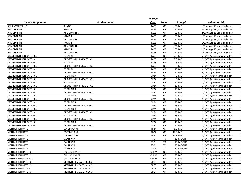|                               |                        | <b>Dosage</b> |           |                 |                               |
|-------------------------------|------------------------|---------------|-----------|-----------------|-------------------------------|
| <b>Generic Drug Name</b>      | <b>Product name</b>    | Form          | Route     | <b>Strength</b> | <b>Utilization Edit</b>       |
| SOLRIAMFETOL HCL              | <b>SUNOSI</b>          | <b>TABS</b>   | OR        | 150 MG          | 1/DAY; Age 18 years and older |
| ARMODAFINIL                   | NUVIGIL                | <b>TABS</b>   | OR        | 50 MG           | 2/DAY; Age 18 years and older |
| ARMODAFINIL                   | ARMODAFINIL            | <b>TABS</b>   | OR        | 50 MG           | 2/DAY; Age 18 years and older |
| ARMODAFINIL                   | NUVIGIL                | <b>TABS</b>   | OR        | 150 MG          | 1/DAY; Age 18 years and older |
| ARMODAFINIL                   | ARMODAFINIL            | <b>TABS</b>   | OR        | 150 MG          | 1/DAY; Age 18 years and older |
| ARMODAFINIL                   | NUVIGIL                | <b>TABS</b>   | OR        | 200 MG          | 1/DAY; Age 18 years and older |
| ARMODAFINIL                   | ARMODAFINIL            | <b>TABS</b>   | OR        | 200 MG          | 1/DAY; Age 18 years and older |
| ARMODAFINIL                   | NUVIGIL                | <b>TABS</b>   | OR        | 250 MG          | 1/DAY; Age 18 years and older |
| ARMODAFINIL                   | ARMODAFINIL            | <b>TABS</b>   | OR        | 250 MG          | 1/DAY; Age 18 years and older |
| <b>DEXMETHYLPHENIDATE HCL</b> | <b>FOCALIN</b>         | <b>TABS</b>   | <b>OR</b> | 2.5 MG          | 2/DAY; Age 3 years and older  |
| DEXMETHYLPHENIDATE HCL        | DEXMETHYLPHENIDATE HCL | <b>TABS</b>   | OR        | 2.5 MG          | 2/DAY; Age 3 years and older  |
| DEXMETHYLPHENIDATE HCL        | <b>FOCALIN</b>         | <b>TABS</b>   | OR        | 5 MG            | 2/DAY; Age 3 years and older  |
| DEXMETHYLPHENIDATE HCL        | DEXMETHYLPHENIDATE HCL | <b>TABS</b>   | OR        | 5 MG            | 2/DAY; Age 3 years and older  |
| DEXMETHYLPHENIDATE HCL        | <b>FOCALIN</b>         | <b>TABS</b>   | OR        | 10 MG           | 4/DAY; Age 3 years and older  |
| DEXMETHYLPHENIDATE HCL        | DEXMETHYLPHENIDATE HCL | <b>TABS</b>   | OR        | 10 MG           | 4/DAY; Age 3 years and older  |
| DEXMETHYLPHENIDATE HCL        | <b>FOCALIN XR</b>      | CP24          | OR        | 5 MG            | 1/DAY; Age 6 years and older  |
| DEXMETHYLPHENIDATE HCL        | DEXMETHYLPHENIDATE HCL | CP24          | OR        | 5 MG            | 1/DAY; Age 6 years and older  |
| DEXMETHYLPHENIDATE HCL        | <b>FOCALIN XR</b>      | CP24          | OR        | 10 MG           | 1/DAY; Age 6 years and older  |
| DEXMETHYLPHENIDATE HCL        | DEXMETHYLPHENIDATE HCL | CP24          | OR        | 10 MG           | 1/DAY; Age 6 years and older  |
| DEXMETHYLPHENIDATE HCL        | <b>FOCALIN XR</b>      | CP24          | OR        | 15 MG           | 1/DAY; Age 6 years and older  |
| DEXMETHYLPHENIDATE HCL        | DEXMETHYLPHENIDATE HCL | CP24          | OR        | 15 MG           | 1/DAY; Age 6 years and older  |
| DEXMETHYLPHENIDATE HCL        | <b>FOCALIN XR</b>      | CP24          | OR        | 20 MG           | 1/DAY; Age 6 years and older  |
| <b>DEXMETHYLPHENIDATE HCL</b> | DEXMETHYLPHENIDATE HCL | CP24          | <b>OR</b> | 20 MG           | 1/DAY; Age 6 years and older  |
| DEXMETHYLPHENIDATE HCL        | <b>FOCALIN XR</b>      | CP24          | OR        | 25 MG           | 1/DAY; Age 6 years and older  |
| DEXMETHYLPHENIDATE HCL        | DEXMETHYLPHENIDATE HCL | <b>CP24</b>   | OR        | 25 MG           | 1/DAY; Age 6 years and older  |
| DEXMETHYLPHENIDATE HCL        | <b>FOCALIN XR</b>      | CP24          | <b>OR</b> | 30 MG           | 1/DAY; Age 6 years and older  |
| DEXMETHYLPHENIDATE HCL        | DEXMETHYLPHENIDATE HCL | CP24          | OR        | 30 MG           | 1/DAY; Age 6 years and older  |
| DEXMETHYLPHENIDATE HCL        | <b>FOCALIN XR</b>      | CP24          | OR        | 35 MG           | 1/DAY; Age 6 years and older  |
| DEXMETHYLPHENIDATE HCL        | DEXMETHYLPHENIDATE HCL | CP24          | OR        | 35 MG           | 1/DAY; Age 6 years and older  |
| DEXMETHYLPHENIDATE HCL        | <b>FOCALIN XR</b>      | CP24          | OR        | 40 MG           | 1/DAY; Age 6 years and older  |
| DEXMETHYLPHENIDATE HCL        | DEXMETHYLPHENIDATE HCL | CP24          | OR        | 40 MG           | 1/DAY; Age 6 years and older  |
| METHYLPHENIDATE               | <b>COTEMPLA XR</b>     | <b>TB24</b>   | OR        | 8.6 MG          | 1/DAY; Age 6 years and older  |
| METHYLPHENIDATE               | <b>COTEMPLA XR</b>     | <b>TB24</b>   | OR        | 17.3 MG         | 2/DAY; Age 6 years and older  |
| METHYLPHENIDATE               | <b>COTEMPLA XR</b>     | <b>TB24</b>   | OR        | 25.9 MG         | 2/DAY; Age 6 years and older  |
| METHYLPHENIDATE               | DAYTRANA               | <b>PTCH</b>   | <b>TD</b> | 10 MG/9HR       | 1/DAY; Age 6 years and older  |
| METHYLPHENIDATE               | <b>DAYTRANA</b>        | PTCH          | <b>TD</b> | 15 MG/9HR       | 1/DAY; Age 6 years and older  |
| METHYLPHENIDATE               | DAYTRANA               | <b>PTCH</b>   | <b>TD</b> | 20 MG/9HR       | 1/DAY; Age 6 years and older  |
| <b>METHYLPHENIDATE</b>        | DAYTRANA               | PTCH          | <b>TD</b> | 30 MG/9HR       | 1/DAY; Age 6 years and older  |
| METHYLPHENIDATE HCL           | <b>QUILLICHEW ER</b>   | <b>CHEW</b>   | OR        | 20 MG           | 1/DAY; Age 6 years and older  |
| METHYLPHENIDATE HCL           | <b>QUILLICHEW ER</b>   | <b>CHEW</b>   | OR        | 30 MG           | 2/DAY; Age 6 years and older  |
| METHYLPHENIDATE HCL           | <b>QUILLICHEW ER</b>   | <b>CHEW</b>   | OR        | 40 MG           | 1/DAY; Age 6 years and older  |
| METHYLPHENIDATE HCL           | METHYLPHENIDATE HCL CD | <b>CPCR</b>   | OR        | 10 MG           | 1/DAY; Age 6 years and older  |
| METHYLPHENIDATE HCL           | METHYLPHENIDATE HCL CD | <b>CPCR</b>   | OR        | 20 MG           | 1/DAY; Age 6 years and older  |
| METHYLPHENIDATE HCL           | METHYLPHENIDATE HCL CD | <b>CPCR</b>   | OR        | 30 MG           | 1/DAY; Age 6 years and older  |
| METHYLPHENIDATE HCL           | METHYLPHENIDATE HCL CD | <b>CPCR</b>   | OR        | 40 MG           | 1/DAY; Age 6 years and older  |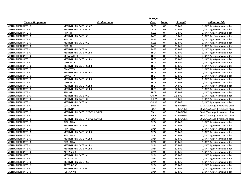|                            |                               | Dosage      |           |                 |                                 |
|----------------------------|-------------------------------|-------------|-----------|-----------------|---------------------------------|
| <b>Generic Drug Name</b>   | <b>Product name</b>           | Form        | Route     | <b>Strength</b> | <b>Utilization Edit</b>         |
| METHYLPHENIDATE HCL        | METHYLPHENIDATE HCL CD        | <b>CPCR</b> | <b>OR</b> | 50 MG           | 1/DAY; Age 6 years and older    |
| <b>METHYLPHENIDATE HCL</b> | METHYLPHENIDATE HCL CD        | <b>CPCR</b> | OR        | 60 MG           | 1/DAY; Age 6 years and older    |
| METHYLPHENIDATE HCL        | <b>RITALIN</b>                | <b>TABS</b> | OR        | 5 <sub>M</sub>  | 3/DAY; Age 3 years and older    |
| METHYLPHENIDATE HCL        | METHYLPHENIDATE HCL           | <b>TABS</b> | <b>OR</b> | 5 MG            | 3/DAY; Age 3 years and older    |
| METHYLPHENIDATE HCL        | <b>RITALIN</b>                | <b>TABS</b> | OR        | 10 MG           | 3/DAY; Age 3 years and older    |
| METHYLPHENIDATE HCL        | METHYLPHENIDATE HCL           | <b>TABS</b> | OR        | 10 MG           | 3/DAY; Age 3 years and older    |
| METHYLPHENIDATE HCL        | <b>RITALIN</b>                | <b>TABS</b> | <b>OR</b> | 20 MG           | 3/DAY; Age 3 years and older    |
| METHYLPHENIDATE HCL        | METHYLPHENIDATE HCL           | <b>TABS</b> | OR        | 20 MG           | 3/DAY; Age 3 years and older    |
| METHYLPHENIDATE HCL        | METHYLPHENIDATE HCL ER        | <b>TBCR</b> | OR        | 10 MG           | 3/DAY; Age 6 years and older    |
| METHYLPHENIDATE HCL        | <b>METADATE ER</b>            | <b>TBCR</b> | OR        | 20 MG           | 3/DAY; Age 6 years and older    |
| METHYLPHENIDATE HCL        | METHYLPHENIDATE HCL ER        | <b>TBCR</b> | OR        | 20 MG           | 3/DAY; Age 6 years and older    |
| METHYLPHENIDATE HCL        | CONCERTA                      | <b>TBCR</b> | OR        | 18 MG           | 1/DAY; Age 6 years and older    |
| METHYLPHENIDATE HCL        | METHYLPHENIDATE HCL ER        | <b>TBCR</b> | OR        | 18 MG           | 1/DAY; Age 6 years and older    |
| <b>METHYLPHENIDATE HCL</b> | <b>CONCERTA</b>               | <b>TBCR</b> | <b>OR</b> | 27 MG           | 1/DAY; Age 6 years and older    |
| METHYLPHENIDATE HCL        | METHYLPHENIDATE HCL ER        | <b>TBCR</b> | OR        | 27 MG           | 1/DAY; Age 6 years and older    |
| METHYLPHENIDATE HCL        | <b>CONCERTA</b>               | <b>TBCR</b> | <b>OR</b> | 36 MG           | 2/DAY; Age 6 years and older    |
| <b>METHYLPHENIDATE HCL</b> | METHYLPHENIDATE HCL ER        | <b>TBCR</b> | <b>OR</b> | 36 MG           | 2/DAY; Age 6 years and older    |
| METHYLPHENIDATE HCL        | <b>CONCERTA</b>               | <b>TBCR</b> | OR        | 54 MG           | 2/DAY; Age 6 years and older    |
| METHYLPHENIDATE HCL        | METHYLPHENIDATE HCL ER        | <b>TBCR</b> | OR        | 54 MG           | 2/DAY; Age 6 years and older    |
| METHYLPHENIDATE HCL        | METHYLPHENIDATE HCL ER        | <b>TBCR</b> | OR        | 72 MG           | 1/DAY; Age 6 years and older    |
| METHYLPHENIDATE HCL        | RELEXXII                      | <b>TBCR</b> | OR        | 72 MG           | 1/DAY; Age 6 years and older    |
| METHYLPHENIDATE HCL        | METHYLPHENIDATE HCL           | <b>CHEW</b> | OR        | 2.5 MG          | 3/DAY; Age 3 years and older    |
| METHYLPHENIDATE HCL        | METHYLPHENIDATE HCL           | <b>CHEW</b> | OR        | 5 MG            | 3/DAY; Age 3 years and older    |
| METHYLPHENIDATE HCL        | METHYLPHENIDATE HCL           | <b>CHEW</b> | OR        | 10 MG           | 3/DAY; Age 3 years and older    |
| METHYLPHENIDATE HCL        | <b>QUILLIVANT XR</b>          | <b>SUSR</b> | OR        | 25 MG/5ML       | 12ML/DAY; Age 6 years and older |
| METHYLPHENIDATE HCL        | <b>METHYLIN</b>               | SOLN        | OR        | 5 MG/5ML        | 60ML/DAY; Age 3 years and older |
| METHYLPHENIDATE HCL        | METHYLPHENIDATE HYDROCHLORIDE | SOLN        | OR        | 5 MG/5ML        | 60ML/DAY; Age 3 years and older |
| METHYLPHENIDATE HCL        | <b>METHYLIN</b>               | SOLN        | OR        | 10 MG/5ML       | 30ML/DAY; Age 3 years and older |
| METHYLPHENIDATE HCL        | METHYLPHENIDATE HYDROCHLORIDE | SOLN        | OR        | 10 MG/5ML       | 30ML/DAY; Age 3 years and older |
| METHYLPHENIDATE HCL        | <b>RITALIN LA</b>             | CP24        | OR        | 10 MG           | 1/DAY; Age 6 years and older    |
| METHYLPHENIDATE HCL        | METHYLPHENIDATE HCL           | CP24        | OR        | 10 MG           | 1/DAY; Age 6 years and older    |
| METHYLPHENIDATE HCL        | <b>RITALIN LA</b>             | CP24        | OR        | 20 MG           | 1/DAY; Age 6 years and older    |
| METHYLPHENIDATE HCL        | METHYLPHENIDATE HCL ER        | <b>CP24</b> | <b>OR</b> | 20 MG           | 1/DAY; Age 6 years and older    |
| METHYLPHENIDATE HCL        | <b>RITALIN LA</b>             | CP24        | OR        | 30 MG           | 2/DAY; Age 6 years and older    |
| METHYLPHENIDATE HCL        | METHYLPHENIDATE HCL ER        | CP24        | OR        | 30 MG           | 2/DAY; Age 6 years and older    |
| METHYLPHENIDATE HCL        | <b>RITALIN LA</b>             | CP24        | <b>OR</b> | 40 MG           | 1/DAY; Age 6 years and older    |
| METHYLPHENIDATE HCL        | METHYLPHENIDATE HCL ER        | CP24        | <b>OR</b> | 40 MG           | 1/DAY; Age 6 years and older    |
| METHYLPHENIDATE HCL        | METHYLPHENIDATE HCL ER        | CP24        | OR        | 60 MG           | 1/DAY; Age 6 years and older    |
| METHYLPHENIDATE HCL        | <b>APTENSIO XR</b>            | CP24        | OR        | 10 MG           | 1/DAY; Age 6 years and older    |
| METHYLPHENIDATE HCL        | METHYLPHENIDATE HCL           | CP24        | <b>OR</b> | 10 MG           | 1/DAY; Age 6 years and older    |
| METHYLPHENIDATE HCL        | <b>APTENSIO XR</b>            | CP24        | OR        | 15 MG           | 1/DAY; Age 6 years and older    |
| METHYLPHENIDATE HCL        | METHYLPHENIDATE HCL           | CP24        | OR        | 15 MG           | 1/DAY; Age 6 years and older    |
| METHYLPHENIDATE HCL        | <b>APTENSIO XR</b>            | CP24        | OR        | 20 MG           | 1/DAY; Age 6 years and older    |
| METHYLPHENIDATE HCL        | METHYLPHENIDATE HCL           | CP24        | OR        | 20 MG           | 1/DAY; Age 6 years and older    |
| METHYLPHENIDATE HCL        | <b>JORNAY PM</b>              | CP24        | OR        | 20 MG           | 1/DAY; Age 6 years and older    |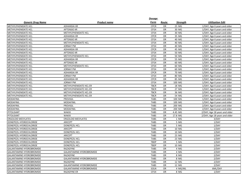|                                 |                                 | Dosage           |           |                 |                               |
|---------------------------------|---------------------------------|------------------|-----------|-----------------|-------------------------------|
| <b>Generic Drug Name</b>        | <b>Product name</b>             | Form             | Route     | <b>Strength</b> | <b>Utilization Edit</b>       |
| METHYLPHENIDATE HCL             | <b>ADHANSIA XR</b>              | <b>CPCR</b>      | <b>OR</b> | 25 MG           | 1/DAY; Age 6 years and older  |
| <b>METHYLPHENIDATE HCL</b>      | <b>APTENSIO XR</b>              | CP24             | <b>OR</b> | 30 MG           | 1/DAY; Age 6 years and older  |
| <b>METHYLPHENIDATE HCL</b>      | METHYLPHENIDATE HCL             | <b>CP24</b>      | <b>OR</b> | 30 MG           | 1/DAY; Age 6 years and older  |
| <b>METHYLPHENIDATE HCL</b>      | <b>ADHANSIA XR</b>              | <b>CPCR</b>      | OR        | 35 MG           | 1/DAY; Age 6 years and older  |
| <b>METHYLPHENIDATE HCL</b>      | <b>APTENSIO XR</b>              | <b>CP24</b>      | <b>OR</b> | 40 MG           | 1/DAY; Age 6 years and older  |
| METHYLPHENIDATE HCL             | METHYLPHENIDATE HCL             | CP24             | <b>OR</b> | 40 MG           | 1/DAY; Age 6 years and older  |
| <b>METHYLPHENIDATE HCL</b>      | <b>JORNAY PM</b>                | CP24             | <b>OR</b> | 40 MG           | 1/DAY; Age 6 years and older  |
| <b>METHYLPHENIDATE HCL</b>      | <b>ADHANSIA XR</b>              | <b>CPCR</b>      | <b>OR</b> | 45 MG           | 1/DAY; Age 6 years and older  |
| METHYLPHENIDATE HCL             | <b>APTENSIO XR</b>              | CP24             | <b>OR</b> | 50 MG           | 1/DAY; Age 6 years and older  |
| <b>METHYLPHENIDATE HCL</b>      | METHYLPHENIDATE HCL             | <b>CP24</b>      | <b>OR</b> | 50 MG           | 1/DAY; Age 6 years and older  |
| <b>METHYLPHENIDATE HCL</b>      | <b>ADHANSIA XR</b>              | <b>CPCR</b>      | OR        | 55 MG           | 1/DAY; Age 6 years and older  |
| METHYLPHENIDATE HCL             | <b>APTENSIO XR</b>              | CP <sub>24</sub> | OR        | 60 MG           | 1/DAY; Age 6 years and older  |
| METHYLPHENIDATE HCL             | METHYLPHENIDATE HCL             | <b>CP24</b>      | <b>OR</b> | 60 MG           | 1/DAY; Age 6 years and older  |
| <b>METHYLPHENIDATE HCL</b>      | <b>JORNAY PM</b>                | CP24             | <b>OR</b> | 60 MG           | 1/DAY; Age 6 years and older  |
| <b>METHYLPHENIDATE HCL</b>      | <b>ADHANSIA XR</b>              | <b>CPCR</b>      | <b>OR</b> | 70 MG           | 1/DAY; Age 6 years and older  |
| <b>METHYLPHENIDATE HCL</b>      | <b>JORNAY PM</b>                | CP24             | <b>OR</b> | 80 MG           | 1/DAY; Age 6 years and older  |
| <b>METHYLPHENIDATE HCL</b>      | <b>ADHANSIA XR</b>              | <b>CPCR</b>      | OR        | 85 MG           | 1/DAY; Age 6 years and older  |
| <b>METHYLPHENIDATE HCL</b>      | <b>JORNAY PM</b>                | CP24             | <b>OR</b> | 100 MG          | 1/DAY; Age 6 years and older  |
| METHYLPHENIDATE HCL             | METHYLPHENIDATE HCL ER          | <b>TBCR</b>      | OR        | 18 MG           | 1/DAY; Age 6 years and older  |
| METHYLPHENIDATE HCL             | METHYLPHENIDATE HCL ER          | <b>TBCR</b>      | <b>OR</b> | 27 MG           | 1/DAY; Age 6 years and older  |
| <b>METHYLPHENIDATE HCL</b>      | METHYLPHENIDATE HCL ER          | <b>TBCR</b>      | <b>OR</b> | 36 MG           | 2/DAY; Age 6 years and older  |
| METHYLPHENIDATE HCL             | METHYLPHENIDATE HCL ER          | <b>TBCR</b>      | <b>OR</b> | 54 MG           | 2/DAY; Age 6 years and older  |
| <b>MODAFINIL</b>                | PROVIGIL                        | <b>TABS</b>      | <b>OR</b> | 100 MG          | 1/DAY; Age 6 years and older  |
| <b>MODAFINIL</b>                | <b>MODAFINIL</b>                | <b>TABS</b>      | <b>OR</b> | 100 MG          | 1/DAY; Age 6 years and older  |
| <b>MODAFINIL</b>                | <b>PROVIGIL</b>                 | <b>TABS</b>      | <b>OR</b> | 200 MG          | 2/DAY; Age 6 years and older  |
| <b>MODAFINIL</b>                | <b>MODAFINIL</b>                | <b>TABS</b>      | OR        | 200 MG          | 2/DAY; Age 6 years and older  |
| PITOLISANT                      | <b>WAKIX</b>                    | <b>TABS</b>      | <b>OR</b> | 4.45 MG         | 2/DAY; Age 18 years and older |
| PITOLISANT                      | <b>WAKIX</b>                    | <b>TABS</b>      | <b>OR</b> | 17.8 MG         | 2/DAY; Age 18 years and older |
| <b>ERGOLOID MESYLATES</b>       | <b>ERGOLOID MESYLATES</b>       | <b>TABS</b>      | <b>OR</b> | 1 MG            | 3/DAY                         |
| DONEPEZIL HYDROCHLORIDE         | <b>ARICEPT</b>                  | <b>TABS</b>      | <b>OR</b> | 5 MG            | 1/DAY                         |
| DONEPEZIL HYDROCHLORIDE         | <b>DONEPEZIL HCL</b>            | <b>TABS</b>      | <b>OR</b> | 5 MG            | 1/DAY                         |
| DONEPEZIL HYDROCHLORIDE         | <b>ARICEPT</b>                  | <b>TABS</b>      | OR        | 10 MG           | 1/DAY                         |
| DONEPEZIL HYDROCHLORIDE         | <b>DONEPEZIL HCL</b>            | <b>TABS</b>      | OR        | 10 MG           | 1/DAY                         |
| DONEPEZIL HYDROCHLORIDE         | <b>ARICEPT</b>                  | <b>TABS</b>      | <b>OR</b> | 23 MG           | 1/DAY                         |
| DONEPEZIL HYDROCHLORIDE         | <b>DONEPEZIL HCL</b>            | <b>TABS</b>      | <b>OR</b> | 23 MG           | 1/DAY                         |
| DONEPEZIL HYDROCHLORIDE         | <b>DONEPEZIL HCL</b>            | <b>TBDP</b>      | OR        | 5 MG            | 1/DAY                         |
| DONEPEZIL HYDROCHLORIDE         | <b>DONEPEZIL HCL</b>            | <b>TBDP</b>      | <b>OR</b> | 10 MG           | 1/DAY                         |
| <b>GALANTAMINE HYDROBROMIDE</b> | RAZADYNE                        | <b>TABS</b>      | <b>OR</b> | 4 MG            | 2/DAY                         |
| <b>GALANTAMINE HYDROBROMIDE</b> | <b>GALANTAMINE HYDROBROMIDE</b> | <b>TABS</b>      | <b>OR</b> | 4 MG            | 2/DAY                         |
| <b>GALANTAMINE HYDROBROMIDE</b> | RAZADYNE                        | <b>TABS</b>      | <b>OR</b> | 8 MG            | 2/DAY                         |
| <b>GALANTAMINE HYDROBROMIDE</b> | <b>GALANTAMINE HYDROBROMIDE</b> | <b>TABS</b>      | <b>OR</b> | 8 MG            | 2/DAY                         |
| <b>GALANTAMINE HYDROBROMIDE</b> | RAZADYNE                        | <b>TABS</b>      | <b>OR</b> | 12 MG           | 2/DAY                         |
| <b>GALANTAMINE HYDROBROMIDE</b> | <b>GALANTAMINE HYDROBROMIDE</b> | <b>TABS</b>      | OR        | 12 MG           | 2/DAY                         |
| <b>GALANTAMINE HYDROBROMIDE</b> | <b>GALANTAMINE HYDROBROMIDE</b> | SOLN             | <b>OR</b> | 4 MG/ML         | 6ML/DAY                       |
| <b>GALANTAMINE HYDROBROMIDE</b> | <b>RAZADYNE ER</b>              | CP24             | <b>OR</b> | 8 MG            | 1/DAY                         |